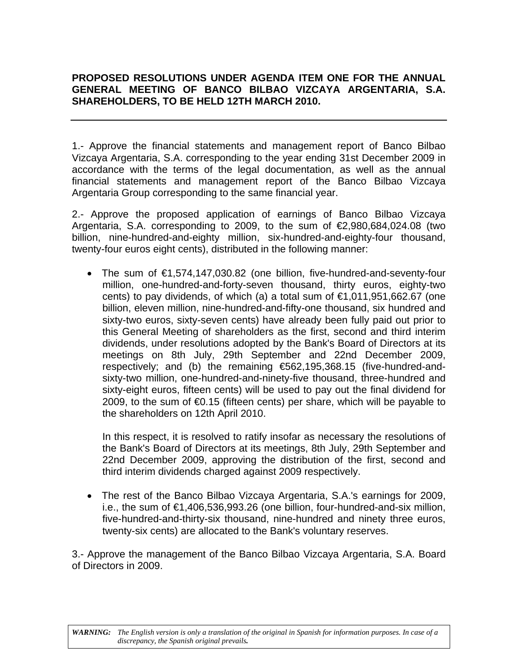## **PROPOSED RESOLUTIONS UNDER AGENDA ITEM ONE FOR THE ANNUAL GENERAL MEETING OF BANCO BILBAO VIZCAYA ARGENTARIA, S.A. SHAREHOLDERS, TO BE HELD 12TH MARCH 2010.**

1.- Approve the financial statements and management report of Banco Bilbao Vizcaya Argentaria, S.A. corresponding to the year ending 31st December 2009 in accordance with the terms of the legal documentation, as well as the annual financial statements and management report of the Banco Bilbao Vizcaya Argentaria Group corresponding to the same financial year.

2.- Approve the proposed application of earnings of Banco Bilbao Vizcaya Argentaria, S.A. corresponding to 2009, to the sum of  $E$ , 980, 684, 024. 08 (two billion, nine-hundred-and-eighty million, six-hundred-and-eighty-four thousand, twenty-four euros eight cents), distributed in the following manner:

 The sum of €1,574,147,030.82 (one billion, five-hundred-and-seventy-four million, one-hundred-and-forty-seven thousand, thirty euros, eighty-two cents) to pay dividends, of which (a) a total sum of  $\epsilon$ 1,011,951,662.67 (one billion, eleven million, nine-hundred-and-fifty-one thousand, six hundred and sixty-two euros, sixty-seven cents) have already been fully paid out prior to this General Meeting of shareholders as the first, second and third interim dividends, under resolutions adopted by the Bank's Board of Directors at its meetings on 8th July, 29th September and 22nd December 2009, respectively; and (b) the remaining €562,195,368.15 (five-hundred-andsixty-two million, one-hundred-and-ninety-five thousand, three-hundred and sixty-eight euros, fifteen cents) will be used to pay out the final dividend for 2009, to the sum of  $60.15$  (fifteen cents) per share, which will be payable to the shareholders on 12th April 2010.

In this respect, it is resolved to ratify insofar as necessary the resolutions of the Bank's Board of Directors at its meetings, 8th July, 29th September and 22nd December 2009, approving the distribution of the first, second and third interim dividends charged against 2009 respectively.

 The rest of the Banco Bilbao Vizcaya Argentaria, S.A.'s earnings for 2009, i.e., the sum of €1,406,536,993.26 (one billion, four-hundred-and-six million, five-hundred-and-thirty-six thousand, nine-hundred and ninety three euros, twenty-six cents) are allocated to the Bank's voluntary reserves.

3.- Approve the management of the Banco Bilbao Vizcaya Argentaria, S.A. Board of Directors in 2009.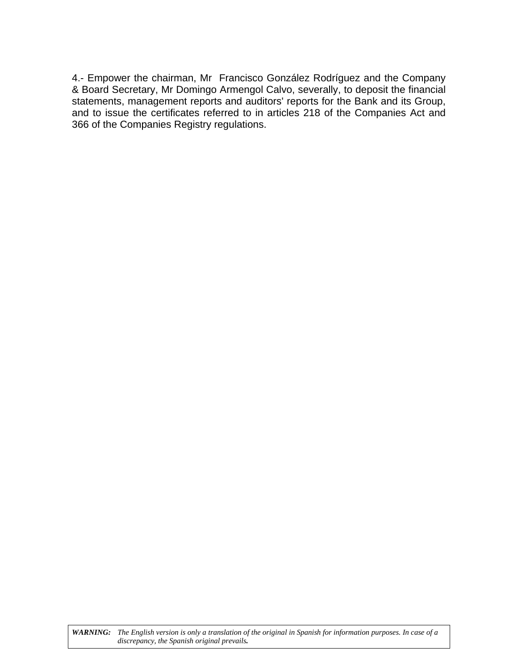4.- Empower the chairman, Mr Francisco González Rodríguez and the Company & Board Secretary, Mr Domingo Armengol Calvo, severally, to deposit the financial statements, management reports and auditors' reports for the Bank and its Group, and to issue the certificates referred to in articles 218 of the Companies Act and 366 of the Companies Registry regulations.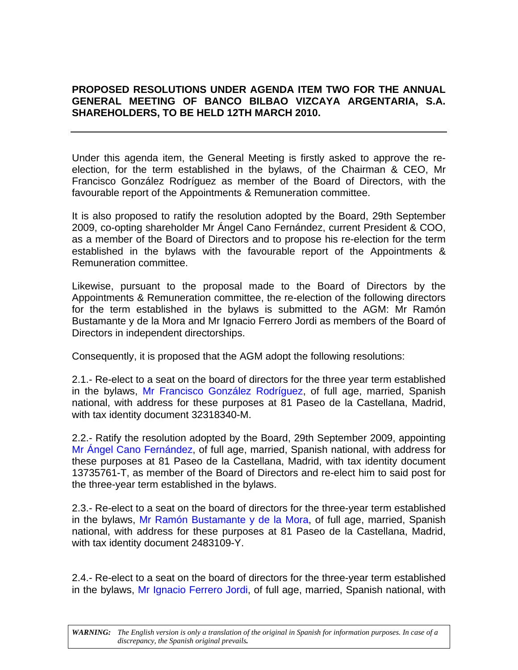## <span id="page-2-0"></span>**PROPOSED RESOLUTIONS UNDER AGENDA ITEM TWO FOR THE ANNUAL GENERAL MEETING OF BANCO BILBAO VIZCAYA ARGENTARIA, S.A. SHAREHOLDERS, TO BE HELD 12TH MARCH 2010.**

Under this agenda item, the General Meeting is firstly asked to approve the reelection, for the term established in the bylaws, of the Chairman & CEO, Mr Francisco González Rodríguez as member of the Board of Directors, with the favourable report of the Appointments & Remuneration committee.

It is also proposed to ratify the resolution adopted by the Board, 29th September 2009, co-opting shareholder Mr Ángel Cano Fernández, current President & COO, as a member of the Board of Directors and to propose his re-election for the term established in the bylaws with the favourable report of the Appointments & Remuneration committee.

Likewise, pursuant to the proposal made to the Board of Directors by the Appointments & Remuneration committee, the re-election of the following directors for the term established in the bylaws is submitted to the AGM: Mr Ramón Bustamante y de la Mora and Mr Ignacio Ferrero Jordi as members of the Board of Directors in independent directorships.

Consequently, it is proposed that the AGM adopt the following resolutions:

2.1.- Re-elect to a seat on the board of directors for the three year term established in the bylaws, [Mr Francisco González Rodríguez](#page-4-0), of full age, married, Spanish national, with address for these purposes at 81 Paseo de la Castellana, Madrid, with tax identity document 32318340-M.

2.2.- Ratify the resolution adopted by the Board, 29th September 2009, appointing [Mr Ángel Cano Fernández,](#page-5-0) of full age, married, Spanish national, with address for these purposes at 81 Paseo de la Castellana, Madrid, with tax identity document 13735761-T, as member of the Board of Directors and re-elect him to said post for the three-year term established in the bylaws.

2.3.- Re-elect to a seat on the board of directors for the three-year term established in the bylaws, [Mr Ramón Bustamante y de la Mora,](#page-6-0) of full age, married, Spanish national, with address for these purposes at 81 Paseo de la Castellana, Madrid, with tax identity document 2483109-Y.

2.4.- Re-elect to a seat on the board of directors for the three-year term established in the bylaws, [Mr Ignacio Ferrero Jordi,](#page-7-0) of full age, married, Spanish national, with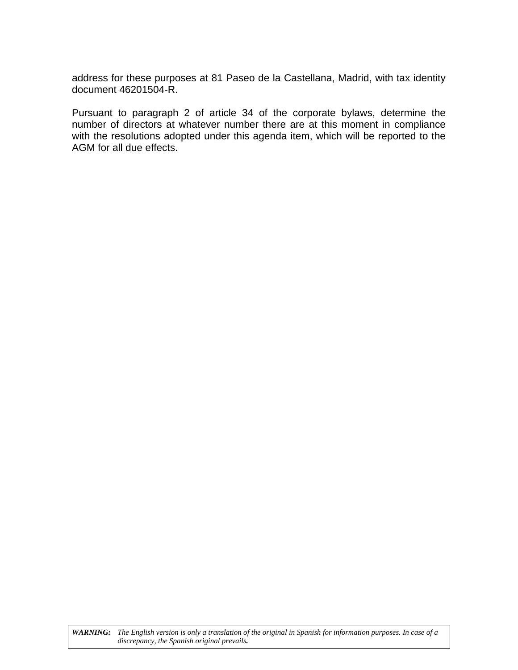address for these purposes at 81 Paseo de la Castellana, Madrid, with tax identity document 46201504-R.

Pursuant to paragraph 2 of article 34 of the corporate bylaws, determine the number of directors at whatever number there are at this moment in compliance with the resolutions adopted under this agenda item, which will be reported to the AGM for all due effects.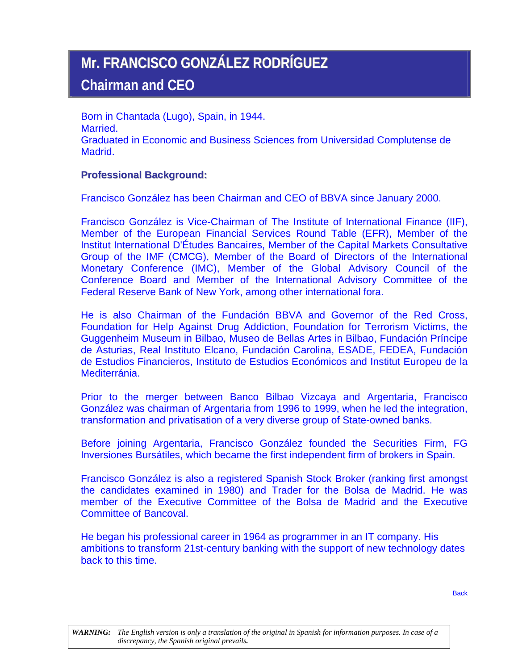## <span id="page-4-0"></span>**Mr. FRANCISCO GONZÁLEZ RODRÍGUEZ Chairman and CEO**

Born in Chantada (Lugo), Spain, in 1944. Married. Graduated in Economic and Business Sciences from Universidad Complutense de Madrid.

## **Professional Background:**

Francisco González has been Chairman and CEO of BBVA since January 2000.

Francisco González is Vice-Chairman of The Institute of International Finance (IIF), Member of the European Financial Services Round Table (EFR), Member of the Institut International D'Études Bancaires, Member of the Capital Markets Consultative Group of the IMF (CMCG), Member of the Board of Directors of the International Monetary Conference (IMC), Member of the Global Advisory Council of the Conference Board and Member of the International Advisory Committee of the Federal Reserve Bank of New York, among other international fora.

He is also Chairman of the Fundación BBVA and Governor of the Red Cross, Foundation for Help Against Drug Addiction, Foundation for Terrorism Victims, the Guggenheim Museum in Bilbao, Museo de Bellas Artes in Bilbao, Fundación Príncipe de Asturias, Real Instituto Elcano, Fundación Carolina, ESADE, FEDEA, Fundación de Estudios Financieros, Instituto de Estudios Económicos and Institut Europeu de la Mediterránia.

Prior to the merger between Banco Bilbao Vizcaya and Argentaria, Francisco González was chairman of Argentaria from 1996 to 1999, when he led the integration, transformation and privatisation of a very diverse group of State-owned banks.

Before joining Argentaria, Francisco González founded the Securities Firm, FG Inversiones Bursátiles, which became the first independent firm of brokers in Spain.

Francisco González is also a registered Spanish Stock Broker (ranking first amongst the candidates examined in 1980) and Trader for the Bolsa de Madrid. He was member of the Executive Committee of the Bolsa de Madrid and the Executive Committee of Bancoval.

He began his professional career in 1964 as programmer in an IT company. His ambitions to transform 21st-century banking with the support of new technology dates back to this time.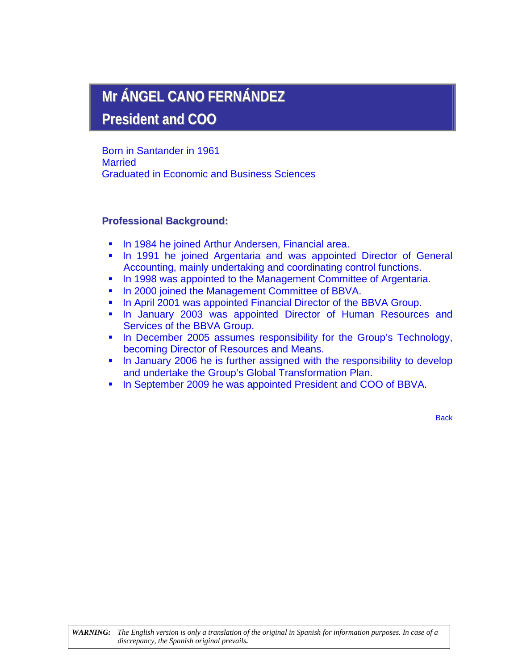# <span id="page-5-0"></span>**Mr ÁNGEL CANO FERNÁNDEZ**

**President and COO**

Born in Santander in 1961 **Married** Graduated in Economic and Business Sciences

## **Professional Background:**

- **In 1984 he joined Arthur Andersen, Financial area.**
- **In 1991 he joined Argentaria and was appointed Director of General** Accounting, mainly undertaking and coordinating control functions.
- In 1998 was appointed to the Management Committee of Argentaria.
- **In 2000 joined the Management Committee of BBVA.**
- **In April 2001 was appointed Financial Director of the BBVA Group.**
- **In January 2003 was appointed Director of Human Resources and** Services of the BBVA Group.
- **III** In December 2005 assumes responsibility for the Group's Technology, becoming Director of Resources and Means.
- In January 2006 he is further assigned with the responsibility to develop and undertake the Group's Global Transformation Plan.
- In September 2009 he was appointed President and COO of BBVA.

**[Back](#page-2-0)**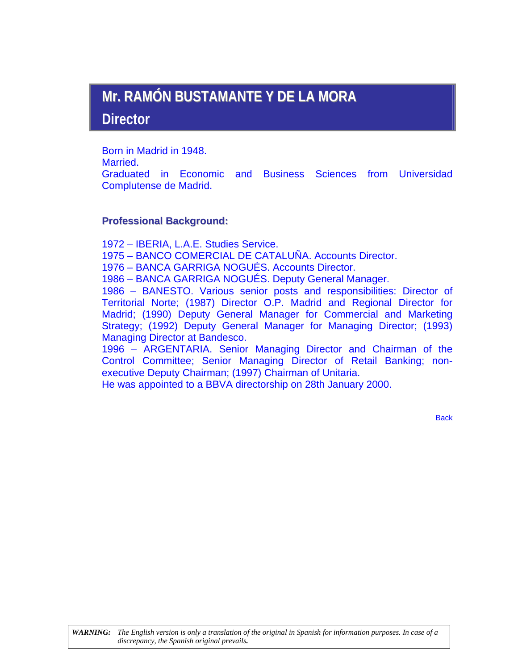# <span id="page-6-0"></span>**Mr. RAMÓN BUSTAMANTE Y DE LA MORA**

**Director** 

Born in Madrid in 1948. Married. Graduated in Economic and Business Sciences from Universidad Complutense de Madrid.

## **Professional Background:**

1972 – IBERIA, L.A.E. Studies Service.

1975 – BANCO COMERCIAL DE CATALUÑA. Accounts Director.

1976 – BANCA GARRIGA NOGUÉS. Accounts Director.

1986 – BANCA GARRIGA NOGUÉS. Deputy General Manager.

1986 – BANESTO. Various senior posts and responsibilities: Director of Territorial Norte; (1987) Director O.P. Madrid and Regional Director for Madrid; (1990) Deputy General Manager for Commercial and Marketing Strategy; (1992) Deputy General Manager for Managing Director; (1993) Managing Director at Bandesco.

1996 – ARGENTARIA. Senior Managing Director and Chairman of the Control Committee; Senior Managing Director of Retail Banking; nonexecutive Deputy Chairman; (1997) Chairman of Unitaria.

He was appointed to a BBVA directorship on 28th January 2000.

**[Back](#page-2-0)**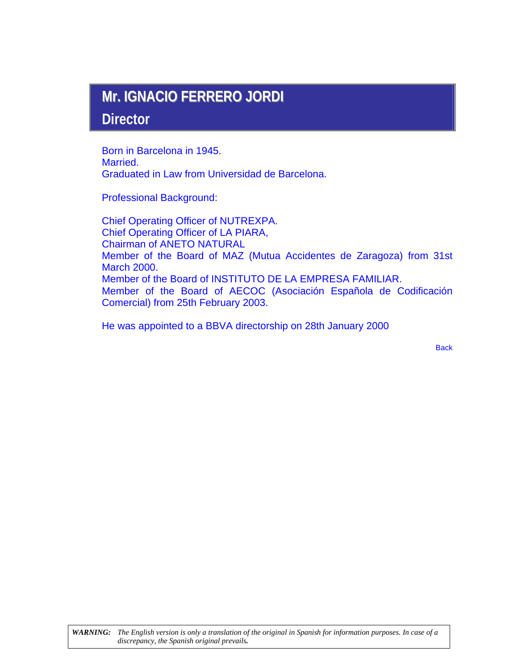# <span id="page-7-0"></span>**Mr. IGNACIO FERRERO JORDI**

## **Director**

Born in Barcelona in 1945. Married. Graduated in Law from Universidad de Barcelona.

Professional Background:

Chief Operating Officer of NUTREXPA. Chief Operating Officer of LA PIARA, Chairman of ANETO NATURAL Member of the Board of MAZ (Mutua Accidentes de Zaragoza) from 31st March 2000. Member of the Board of INSTITUTO DE LA EMPRESA FAMILIAR. Member of the Board of AECOC (Asociación Española de Codificación Comercial) from 25th February 2003.

He was appointed to a BBVA directorship on 28th January 2000

**[Back](#page-2-0)**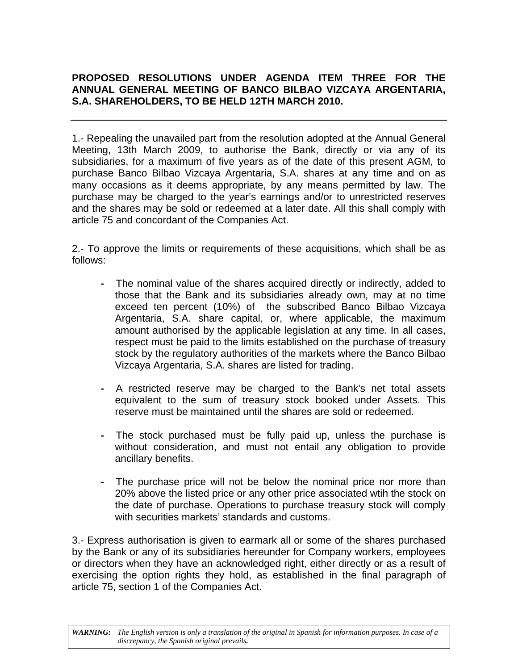## **PROPOSED RESOLUTIONS UNDER AGENDA ITEM THREE FOR THE ANNUAL GENERAL MEETING OF BANCO BILBAO VIZCAYA ARGENTARIA, S.A. SHAREHOLDERS, TO BE HELD 12TH MARCH 2010.**

1.- Repealing the unavailed part from the resolution adopted at the Annual General Meeting, 13th March 2009, to authorise the Bank, directly or via any of its subsidiaries, for a maximum of five years as of the date of this present AGM, to purchase Banco Bilbao Vizcaya Argentaria, S.A. shares at any time and on as many occasions as it deems appropriate, by any means permitted by law. The purchase may be charged to the year's earnings and/or to unrestricted reserves and the shares may be sold or redeemed at a later date. All this shall comply with article 75 and concordant of the Companies Act.

2.- To approve the limits or requirements of these acquisitions, which shall be as follows:

- The nominal value of the shares acquired directly or indirectly, added to those that the Bank and its subsidiaries already own, may at no time exceed ten percent (10%) of the subscribed Banco Bilbao Vizcaya Argentaria, S.A. share capital, or, where applicable, the maximum amount authorised by the applicable legislation at any time. In all cases, respect must be paid to the limits established on the purchase of treasury stock by the regulatory authorities of the markets where the Banco Bilbao Vizcaya Argentaria, S.A. shares are listed for trading.
- A restricted reserve may be charged to the Bank's net total assets equivalent to the sum of treasury stock booked under Assets. This reserve must be maintained until the shares are sold or redeemed.
- The stock purchased must be fully paid up, unless the purchase is without consideration, and must not entail any obligation to provide ancillary benefits.
- The purchase price will not be below the nominal price nor more than 20% above the listed price or any other price associated wtih the stock on the date of purchase. Operations to purchase treasury stock will comply with securities markets' standards and customs.

3.- Express authorisation is given to earmark all or some of the shares purchased by the Bank or any of its subsidiaries hereunder for Company workers, employees or directors when they have an acknowledged right, either directly or as a result of exercising the option rights they hold, as established in the final paragraph of article 75, section 1 of the Companies Act.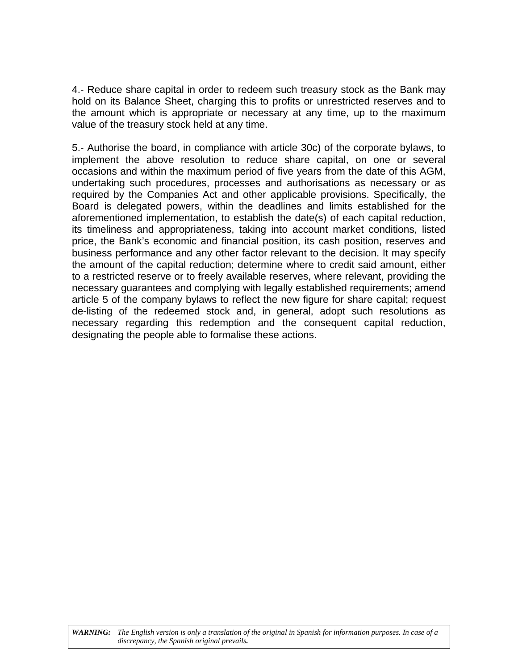4.- Reduce share capital in order to redeem such treasury stock as the Bank may hold on its Balance Sheet, charging this to profits or unrestricted reserves and to the amount which is appropriate or necessary at any time, up to the maximum value of the treasury stock held at any time.

5.- Authorise the board, in compliance with article 30c) of the corporate bylaws, to implement the above resolution to reduce share capital, on one or several occasions and within the maximum period of five years from the date of this AGM, undertaking such procedures, processes and authorisations as necessary or as required by the Companies Act and other applicable provisions. Specifically, the Board is delegated powers, within the deadlines and limits established for the aforementioned implementation, to establish the date(s) of each capital reduction, its timeliness and appropriateness, taking into account market conditions, listed price, the Bank's economic and financial position, its cash position, reserves and business performance and any other factor relevant to the decision. It may specify the amount of the capital reduction; determine where to credit said amount, either to a restricted reserve or to freely available reserves, where relevant, providing the necessary guarantees and complying with legally established requirements; amend article 5 of the company bylaws to reflect the new figure for share capital; request de-listing of the redeemed stock and, in general, adopt such resolutions as necessary regarding this redemption and the consequent capital reduction, designating the people able to formalise these actions.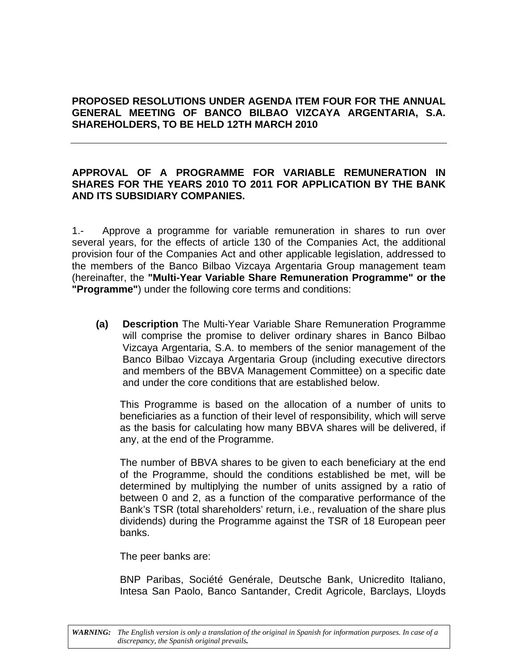## **PROPOSED RESOLUTIONS UNDER AGENDA ITEM FOUR FOR THE ANNUAL GENERAL MEETING OF BANCO BILBAO VIZCAYA ARGENTARIA, S.A. SHAREHOLDERS, TO BE HELD 12TH MARCH 2010**

## **APPROVAL OF A PROGRAMME FOR VARIABLE REMUNERATION IN SHARES FOR THE YEARS 2010 TO 2011 FOR APPLICATION BY THE BANK AND ITS SUBSIDIARY COMPANIES.**

1.- Approve a programme for variable remuneration in shares to run over several years, for the effects of article 130 of the Companies Act, the additional provision four of the Companies Act and other applicable legislation, addressed to the members of the Banco Bilbao Vizcaya Argentaria Group management team (hereinafter, the **"Multi-Year Variable Share Remuneration Programme" or the "Programme"**) under the following core terms and conditions:

**(a) Description** The Multi-Year Variable Share Remuneration Programme will comprise the promise to deliver ordinary shares in Banco Bilbao Vizcaya Argentaria, S.A. to members of the senior management of the Banco Bilbao Vizcaya Argentaria Group (including executive directors and members of the BBVA Management Committee) on a specific date and under the core conditions that are established below.

This Programme is based on the allocation of a number of units to beneficiaries as a function of their level of responsibility, which will serve as the basis for calculating how many BBVA shares will be delivered, if any, at the end of the Programme.

The number of BBVA shares to be given to each beneficiary at the end of the Programme, should the conditions established be met, will be determined by multiplying the number of units assigned by a ratio of between 0 and 2, as a function of the comparative performance of the Bank's TSR (total shareholders' return, i.e., revaluation of the share plus dividends) during the Programme against the TSR of 18 European peer banks.

The peer banks are:

BNP Paribas, Société Genérale, Deutsche Bank, Unicredito Italiano, Intesa San Paolo, Banco Santander, Credit Agricole, Barclays, Lloyds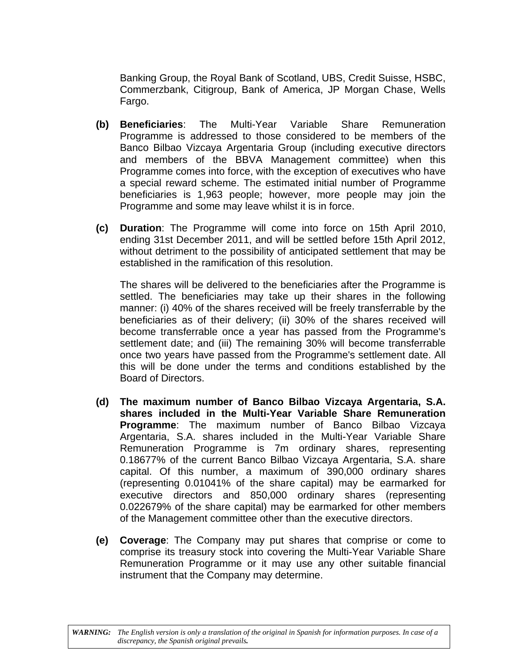Banking Group, the Royal Bank of Scotland, UBS, Credit Suisse, HSBC, Commerzbank, Citigroup, Bank of America, JP Morgan Chase, Wells Fargo.

- **(b) Beneficiaries**: The Multi-Year Variable Share Remuneration Programme is addressed to those considered to be members of the Banco Bilbao Vizcaya Argentaria Group (including executive directors and members of the BBVA Management committee) when this Programme comes into force, with the exception of executives who have a special reward scheme. The estimated initial number of Programme beneficiaries is 1,963 people; however, more people may join the Programme and some may leave whilst it is in force.
- **(c) Duration**: The Programme will come into force on 15th April 2010, ending 31st December 2011, and will be settled before 15th April 2012, without detriment to the possibility of anticipated settlement that may be established in the ramification of this resolution.

The shares will be delivered to the beneficiaries after the Programme is settled. The beneficiaries may take up their shares in the following manner: (i) 40% of the shares received will be freely transferrable by the beneficiaries as of their delivery; (ii) 30% of the shares received will become transferrable once a year has passed from the Programme's settlement date; and (iii) The remaining 30% will become transferrable once two years have passed from the Programme's settlement date. All this will be done under the terms and conditions established by the Board of Directors.

- **(d) The maximum number of Banco Bilbao Vizcaya Argentaria, S.A. shares included in the Multi-Year Variable Share Remuneration Programme**: The maximum number of Banco Bilbao Vizcaya Argentaria, S.A. shares included in the Multi-Year Variable Share Remuneration Programme is 7m ordinary shares, representing 0.18677% of the current Banco Bilbao Vizcaya Argentaria, S.A. share capital. Of this number, a maximum of 390,000 ordinary shares (representing 0.01041% of the share capital) may be earmarked for executive directors and 850,000 ordinary shares (representing 0.022679% of the share capital) may be earmarked for other members of the Management committee other than the executive directors.
- **(e) Coverage**: The Company may put shares that comprise or come to comprise its treasury stock into covering the Multi-Year Variable Share Remuneration Programme or it may use any other suitable financial instrument that the Company may determine.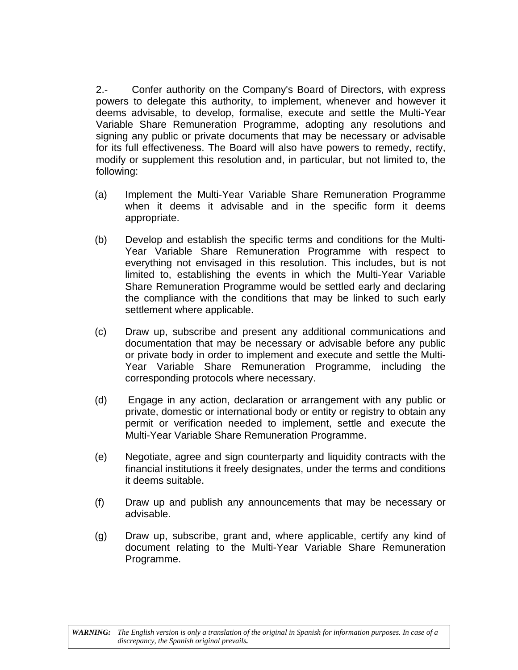2.- Confer authority on the Company's Board of Directors, with express powers to delegate this authority, to implement, whenever and however it deems advisable, to develop, formalise, execute and settle the Multi-Year Variable Share Remuneration Programme, adopting any resolutions and signing any public or private documents that may be necessary or advisable for its full effectiveness. The Board will also have powers to remedy, rectify, modify or supplement this resolution and, in particular, but not limited to, the following:

- (a) Implement the Multi-Year Variable Share Remuneration Programme when it deems it advisable and in the specific form it deems appropriate.
- (b) Develop and establish the specific terms and conditions for the Multi-Year Variable Share Remuneration Programme with respect to everything not envisaged in this resolution. This includes, but is not limited to, establishing the events in which the Multi-Year Variable Share Remuneration Programme would be settled early and declaring the compliance with the conditions that may be linked to such early settlement where applicable.
- (c) Draw up, subscribe and present any additional communications and documentation that may be necessary or advisable before any public or private body in order to implement and execute and settle the Multi-Year Variable Share Remuneration Programme, including the corresponding protocols where necessary.
- (d) Engage in any action, declaration or arrangement with any public or private, domestic or international body or entity or registry to obtain any permit or verification needed to implement, settle and execute the Multi-Year Variable Share Remuneration Programme.
- (e) Negotiate, agree and sign counterparty and liquidity contracts with the financial institutions it freely designates, under the terms and conditions it deems suitable.
- (f) Draw up and publish any announcements that may be necessary or advisable.
- (g) Draw up, subscribe, grant and, where applicable, certify any kind of document relating to the Multi-Year Variable Share Remuneration Programme.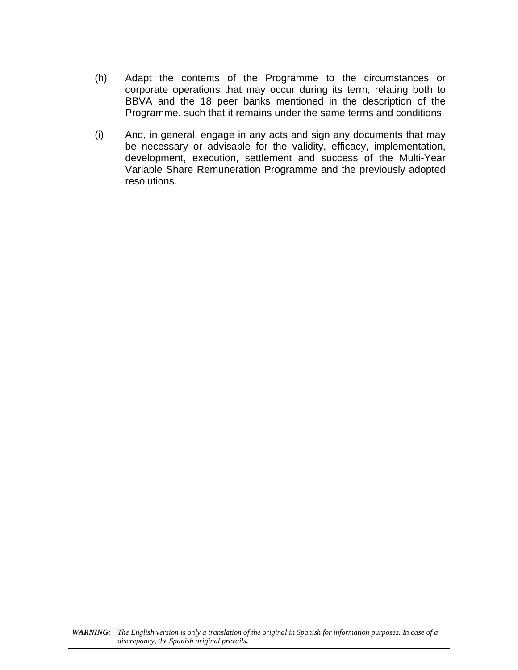- (h) Adapt the contents of the Programme to the circumstances or corporate operations that may occur during its term, relating both to BBVA and the 18 peer banks mentioned in the description of the Programme, such that it remains under the same terms and conditions.
- (i) And, in general, engage in any acts and sign any documents that may be necessary or advisable for the validity, efficacy, implementation, development, execution, settlement and success of the Multi-Year Variable Share Remuneration Programme and the previously adopted resolutions.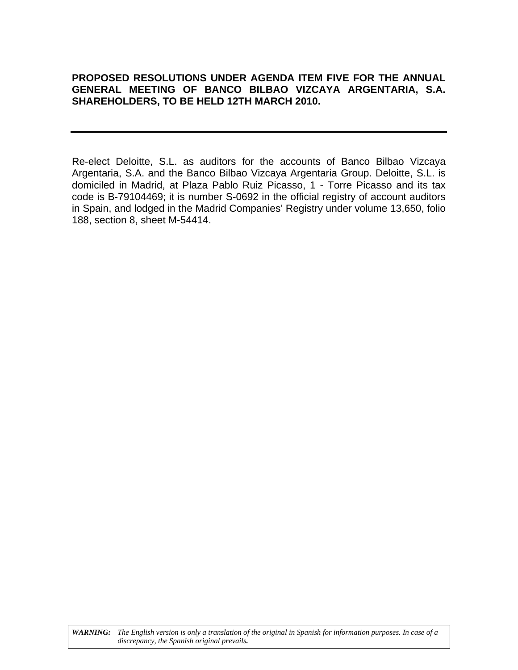## **PROPOSED RESOLUTIONS UNDER AGENDA ITEM FIVE FOR THE ANNUAL GENERAL MEETING OF BANCO BILBAO VIZCAYA ARGENTARIA, S.A. SHAREHOLDERS, TO BE HELD 12TH MARCH 2010.**

Re-elect Deloitte, S.L. as auditors for the accounts of Banco Bilbao Vizcaya Argentaria, S.A. and the Banco Bilbao Vizcaya Argentaria Group. Deloitte, S.L. is domiciled in Madrid, at Plaza Pablo Ruiz Picasso, 1 - Torre Picasso and its tax code is B-79104469; it is number S-0692 in the official registry of account auditors in Spain, and lodged in the Madrid Companies' Registry under volume 13,650, folio 188, section 8, sheet M-54414.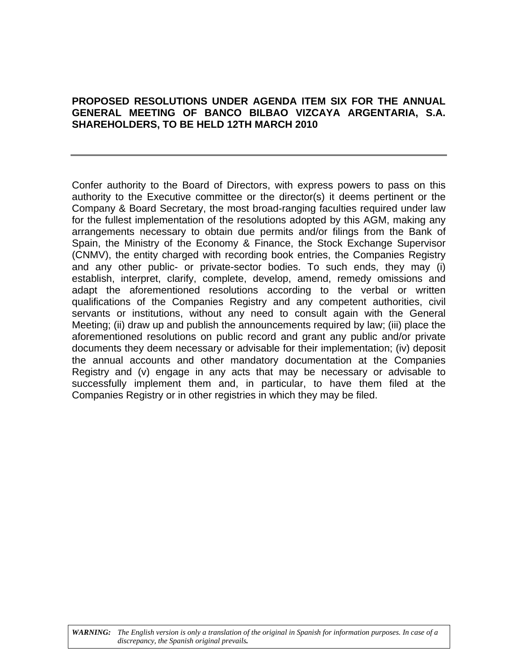## **PROPOSED RESOLUTIONS UNDER AGENDA ITEM SIX FOR THE ANNUAL GENERAL MEETING OF BANCO BILBAO VIZCAYA ARGENTARIA, S.A. SHAREHOLDERS, TO BE HELD 12TH MARCH 2010**

Confer authority to the Board of Directors, with express powers to pass on this authority to the Executive committee or the director(s) it deems pertinent or the Company & Board Secretary, the most broad-ranging faculties required under law for the fullest implementation of the resolutions adopted by this AGM, making any arrangements necessary to obtain due permits and/or filings from the Bank of Spain, the Ministry of the Economy & Finance, the Stock Exchange Supervisor (CNMV), the entity charged with recording book entries, the Companies Registry and any other public- or private-sector bodies. To such ends, they may (i) establish, interpret, clarify, complete, develop, amend, remedy omissions and adapt the aforementioned resolutions according to the verbal or written qualifications of the Companies Registry and any competent authorities, civil servants or institutions, without any need to consult again with the General Meeting; (ii) draw up and publish the announcements required by law; (iii) place the aforementioned resolutions on public record and grant any public and/or private documents they deem necessary or advisable for their implementation; (iv) deposit the annual accounts and other mandatory documentation at the Companies Registry and (v) engage in any acts that may be necessary or advisable to successfully implement them and, in particular, to have them filed at the Companies Registry or in other registries in which they may be filed.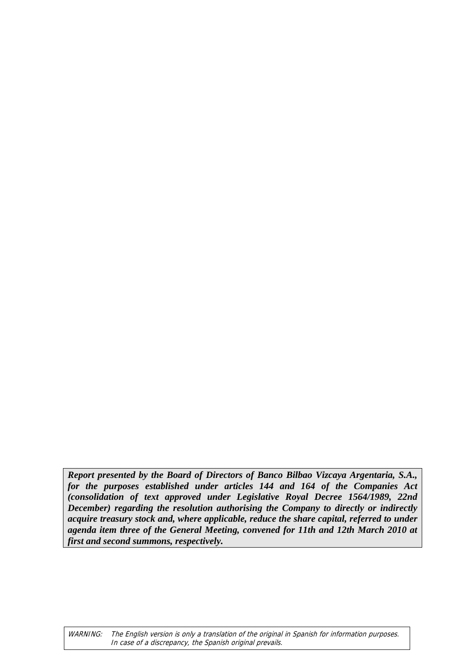*Report presented by the Board of Directors of Banco Bilbao Vizcaya Argentaria, S.A., for the purposes established under articles 144 and 164 of the Companies Act (consolidation of text approved under Legislative Royal Decree 1564/1989, 22nd December) regarding the resolution authorising the Company to directly or indirectly acquire treasury stock and, where applicable, reduce the share capital, referred to under agenda item three of the General Meeting, convened for 11th and 12th March 2010 at first and second summons, respectively.*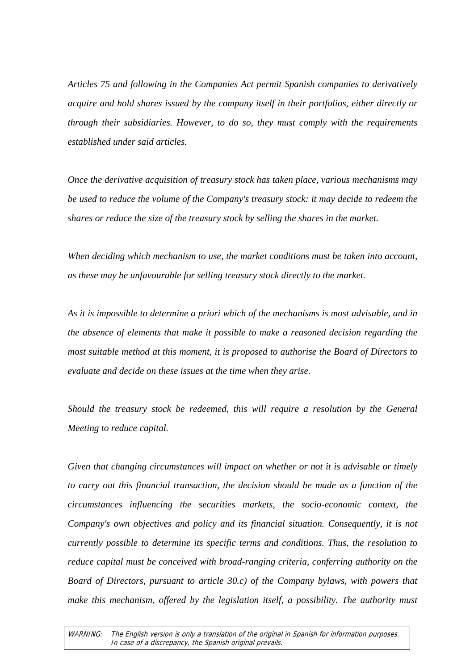*Articles 75 and following in the Companies Act permit Spanish companies to derivatively acquire and hold shares issued by the company itself in their portfolios, either directly or through their subsidiaries. However, to do so, they must comply with the requirements established under said articles.* 

*Once the derivative acquisition of treasury stock has taken place, various mechanisms may be used to reduce the volume of the Company's treasury stock: it may decide to redeem the shares or reduce the size of the treasury stock by selling the shares in the market.* 

*When deciding which mechanism to use, the market conditions must be taken into account, as these may be unfavourable for selling treasury stock directly to the market.* 

*As it is impossible to determine a priori which of the mechanisms is most advisable, and in the absence of elements that make it possible to make a reasoned decision regarding the most suitable method at this moment, it is proposed to authorise the Board of Directors to evaluate and decide on these issues at the time when they arise.* 

*Should the treasury stock be redeemed, this will require a resolution by the General Meeting to reduce capital.* 

*Given that changing circumstances will impact on whether or not it is advisable or timely to carry out this financial transaction, the decision should be made as a function of the circumstances influencing the securities markets, the socio-economic context, the Company's own objectives and policy and its financial situation. Consequently, it is not currently possible to determine its specific terms and conditions. Thus, the resolution to reduce capital must be conceived with broad-ranging criteria, conferring authority on the Board of Directors, pursuant to article 30.c) of the Company bylaws, with powers that make this mechanism, offered by the legislation itself, a possibility. The authority must*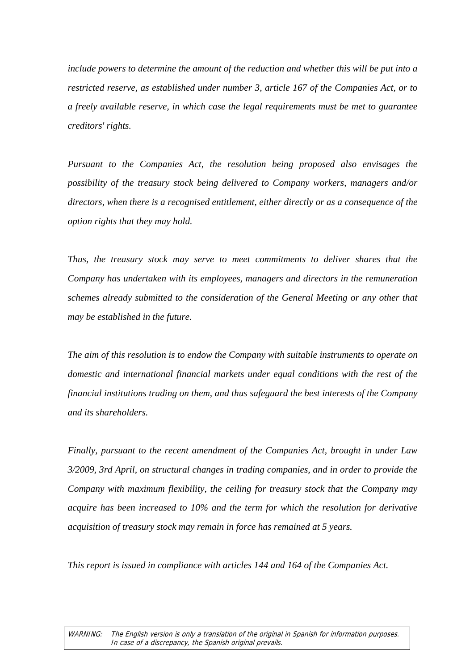*include powers to determine the amount of the reduction and whether this will be put into a restricted reserve, as established under number 3, article 167 of the Companies Act, or to a freely available reserve, in which case the legal requirements must be met to guarantee creditors' rights.* 

*Pursuant to the Companies Act, the resolution being proposed also envisages the possibility of the treasury stock being delivered to Company workers, managers and/or directors, when there is a recognised entitlement, either directly or as a consequence of the option rights that they may hold.* 

*Thus, the treasury stock may serve to meet commitments to deliver shares that the Company has undertaken with its employees, managers and directors in the remuneration schemes already submitted to the consideration of the General Meeting or any other that may be established in the future.* 

*The aim of this resolution is to endow the Company with suitable instruments to operate on domestic and international financial markets under equal conditions with the rest of the financial institutions trading on them, and thus safeguard the best interests of the Company and its shareholders.* 

*Finally, pursuant to the recent amendment of the Companies Act, brought in under Law 3/2009, 3rd April, on structural changes in trading companies, and in order to provide the Company with maximum flexibility, the ceiling for treasury stock that the Company may acquire has been increased to 10% and the term for which the resolution for derivative acquisition of treasury stock may remain in force has remained at 5 years.* 

*This report is issued in compliance with articles 144 and 164 of the Companies Act.*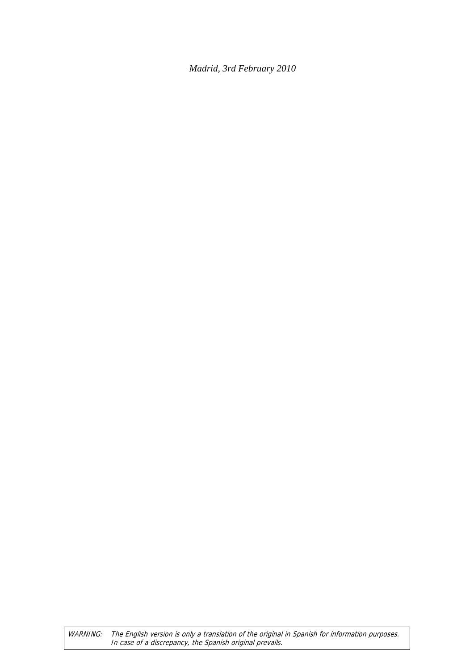*Madrid, 3rd February 2010*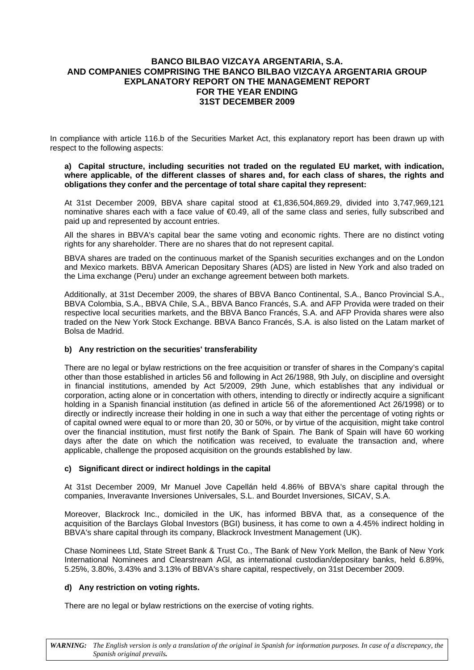#### **BANCO BILBAO VIZCAYA ARGENTARIA, S.A. AND COMPANIES COMPRISING THE BANCO BILBAO VIZCAYA ARGENTARIA GROUP EXPLANATORY REPORT ON THE MANAGEMENT REPORT FOR THE YEAR ENDING 31ST DECEMBER 2009**

In compliance with article 116.b of the Securities Market Act, this explanatory report has been drawn up with respect to the following aspects:

#### **a) Capital structure, including securities not traded on the regulated EU market, with indication, where applicable, of the different classes of shares and, for each class of shares, the rights and obligations they confer and the percentage of total share capital they represent:**

At 31st December 2009, BBVA share capital stood at €1,836,504,869.29, divided into 3,747,969,121 nominative shares each with a face value of €0.49, all of the same class and series, fully subscribed and paid up and represented by account entries.

All the shares in BBVA's capital bear the same voting and economic rights. There are no distinct voting rights for any shareholder. There are no shares that do not represent capital.

BBVA shares are traded on the continuous market of the Spanish securities exchanges and on the London and Mexico markets. BBVA American Depositary Shares (ADS) are listed in New York and also traded on the Lima exchange (Peru) under an exchange agreement between both markets.

Additionally, at 31st December 2009, the shares of BBVA Banco Continental, S.A., Banco Provincial S.A., BBVA Colombia, S.A., BBVA Chile, S.A., BBVA Banco Francés, S.A. and AFP Provida were traded on their respective local securities markets, and the BBVA Banco Francés, S.A. and AFP Provida shares were also traded on the New York Stock Exchange. BBVA Banco Francés, S.A. is also listed on the Latam market of Bolsa de Madrid.

#### **b) Any restriction on the securities' transferability**

There are no legal or bylaw restrictions on the free acquisition or transfer of shares in the Company's capital other than those established in articles 56 and following in Act 26/1988, 9th July, on discipline and oversight in financial institutions, amended by Act 5/2009, 29th June, which establishes that any individual or corporation, acting alone or in concertation with others, intending to directly or indirectly acquire a significant holding in a Spanish financial institution (as defined in article 56 of the aforementioned Act 26/1998) or to directly or indirectly increase their holding in one in such a way that either the percentage of voting rights or of capital owned were equal to or more than 20, 30 or 50%, or by virtue of the acquisition, might take control over the financial institution, must first notify the Bank of Spain*. T*he Bank of Spain will have 60 working days after the date on which the notification was received, to evaluate the transaction and, where applicable, challenge the proposed acquisition on the grounds established by law.

#### **c) Significant direct or indirect holdings in the capital**

At 31st December 2009, Mr Manuel Jove Capellán held 4.86% of BBVA's share capital through the companies, Inveravante Inversiones Universales, S.L. and Bourdet Inversiones, SICAV, S.A.

Moreover, Blackrock Inc., domiciled in the UK, has informed BBVA that, as a consequence of the acquisition of the Barclays Global Investors (BGI) business, it has come to own a 4.45% indirect holding in BBVA's share capital through its company, Blackrock Investment Management (UK).

Chase Nominees Ltd, State Street Bank & Trust Co., The Bank of New York Mellon, the Bank of New York International Nominees and Clearstream AGl, as international custodian/depositary banks, held 6.89%, 5.25%, 3.80%, 3.43% and 3.13% of BBVA's share capital, respectively, on 31st December 2009.

#### **d) Any restriction on voting rights.**

There are no legal or bylaw restrictions on the exercise of voting rights.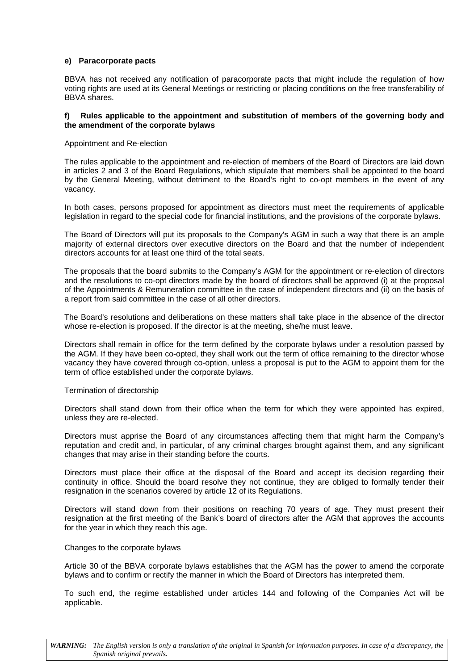#### **e) Paracorporate pacts**

BBVA has not received any notification of paracorporate pacts that might include the regulation of how voting rights are used at its General Meetings or restricting or placing conditions on the free transferability of BBVA shares.

#### **f) Rules applicable to the appointment and substitution of members of the governing body and the amendment of the corporate bylaws**

Appointment and Re-election

The rules applicable to the appointment and re-election of members of the Board of Directors are laid down in articles 2 and 3 of the Board Regulations, which stipulate that members shall be appointed to the board by the General Meeting, without detriment to the Board's right to co-opt members in the event of any vacancy.

In both cases, persons proposed for appointment as directors must meet the requirements of applicable legislation in regard to the special code for financial institutions, and the provisions of the corporate bylaws.

The Board of Directors will put its proposals to the Company's AGM in such a way that there is an ample majority of external directors over executive directors on the Board and that the number of independent directors accounts for at least one third of the total seats.

The proposals that the board submits to the Company's AGM for the appointment or re-election of directors and the resolutions to co-opt directors made by the board of directors shall be approved (i) at the proposal of the Appointments & Remuneration committee in the case of independent directors and (ii) on the basis of a report from said committee in the case of all other directors.

The Board's resolutions and deliberations on these matters shall take place in the absence of the director whose re-election is proposed. If the director is at the meeting, she/he must leave.

Directors shall remain in office for the term defined by the corporate bylaws under a resolution passed by the AGM. If they have been co-opted, they shall work out the term of office remaining to the director whose vacancy they have covered through co-option, unless a proposal is put to the AGM to appoint them for the term of office established under the corporate bylaws.

#### Termination of directorship

Directors shall stand down from their office when the term for which they were appointed has expired, unless they are re-elected.

Directors must apprise the Board of any circumstances affecting them that might harm the Company's reputation and credit and, in particular, of any criminal charges brought against them, and any significant changes that may arise in their standing before the courts.

Directors must place their office at the disposal of the Board and accept its decision regarding their continuity in office. Should the board resolve they not continue, they are obliged to formally tender their resignation in the scenarios covered by article 12 of its Regulations.

Directors will stand down from their positions on reaching 70 years of age. They must present their resignation at the first meeting of the Bank's board of directors after the AGM that approves the accounts for the year in which they reach this age.

#### Changes to the corporate bylaws

Article 30 of the BBVA corporate bylaws establishes that the AGM has the power to amend the corporate bylaws and to confirm or rectify the manner in which the Board of Directors has interpreted them.

To such end, the regime established under articles 144 and following of the Companies Act will be applicable.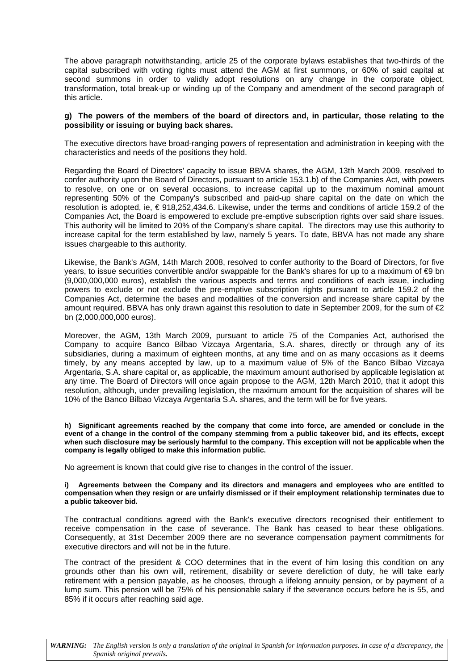The above paragraph notwithstanding, article 25 of the corporate bylaws establishes that two-thirds of the capital subscribed with voting rights must attend the AGM at first summons, or 60% of said capital at second summons in order to validly adopt resolutions on any change in the corporate object, transformation, total break-up or winding up of the Company and amendment of the second paragraph of this article.

#### **g) The powers of the members of the board of directors and, in particular, those relating to the possibility or issuing or buying back shares.**

The executive directors have broad-ranging powers of representation and administration in keeping with the characteristics and needs of the positions they hold.

Regarding the Board of Directors' capacity to issue BBVA shares, the AGM, 13th March 2009, resolved to confer authority upon the Board of Directors, pursuant to article 153.1.b) of the Companies Act, with powers to resolve, on one or on several occasions, to increase capital up to the maximum nominal amount representing 50% of the Company's subscribed and paid-up share capital on the date on which the resolution is adopted, ie, € 918,252,434.6. Likewise, under the terms and conditions of article 159.2 of the Companies Act, the Board is empowered to exclude pre-emptive subscription rights over said share issues. This authority will be limited to 20% of the Company's share capital. The directors may use this authority to increase capital for the term established by law, namely 5 years. To date, BBVA has not made any share issues chargeable to this authority.

Likewise, the Bank's AGM, 14th March 2008, resolved to confer authority to the Board of Directors, for five years, to issue securities convertible and/or swappable for the Bank's shares for up to a maximum of €9 bn (9,000,000,000 euros), establish the various aspects and terms and conditions of each issue, including powers to exclude or not exclude the pre-emptive subscription rights pursuant to article 159.2 of the Companies Act, determine the bases and modalities of the conversion and increase share capital by the amount required. BBVA has only drawn against this resolution to date in September 2009, for the sum of  $\epsilon_2$ bn (2,000,000,000 euros).

Moreover, the AGM, 13th March 2009, pursuant to article 75 of the Companies Act, authorised the Company to acquire Banco Bilbao Vizcaya Argentaria, S.A. shares, directly or through any of its subsidiaries, during a maximum of eighteen months, at any time and on as many occasions as it deems timely, by any means accepted by law, up to a maximum value of 5% of the Banco Bilbao Vizcaya Argentaria, S.A. share capital or, as applicable, the maximum amount authorised by applicable legislation at any time. The Board of Directors will once again propose to the AGM, 12th March 2010, that it adopt this resolution, although, under prevailing legislation, the maximum amount for the acquisition of shares will be 10% of the Banco Bilbao Vizcaya Argentaria S.A. shares, and the term will be for five years.

**h) Significant agreements reached by the company that come into force, are amended or conclude in the event of a change in the control of the company stemming from a public takeover bid, and its effects, except when such disclosure may be seriously harmful to the company. This exception will not be applicable when the company is legally obliged to make this information public.** 

No agreement is known that could give rise to changes in the control of the issuer.

#### **i) Agreements between the Company and its directors and managers and employees who are entitled to compensation when they resign or are unfairly dismissed or if their employment relationship terminates due to a public takeover bid.**

The contractual conditions agreed with the Bank's executive directors recognised their entitlement to receive compensation in the case of severance. The Bank has ceased to bear these obligations. Consequently, at 31st December 2009 there are no severance compensation payment commitments for executive directors and will not be in the future.

The contract of the president & COO determines that in the event of him losing this condition on any grounds other than his own will, retirement, disability or severe dereliction of duty, he will take early retirement with a pension payable, as he chooses, through a lifelong annuity pension, or by payment of a lump sum. This pension will be 75% of his pensionable salary if the severance occurs before he is 55, and 85% if it occurs after reaching said age.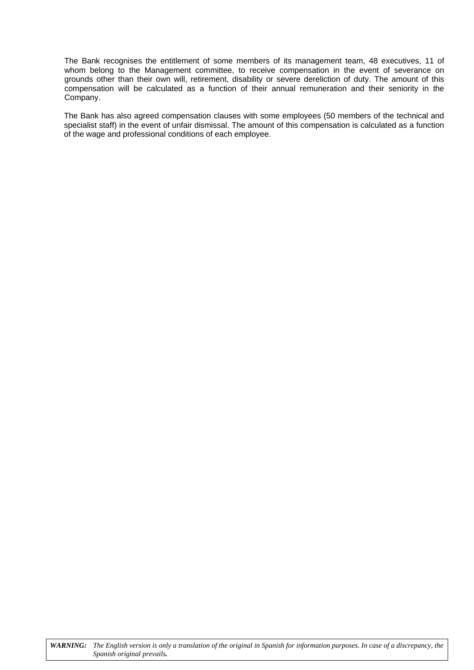The Bank recognises the entitlement of some members of its management team, 48 executives, 11 of whom belong to the Management committee, to receive compensation in the event of severance on grounds other than their own will, retirement, disability or severe dereliction of duty. The amount of this compensation will be calculated as a function of their annual remuneration and their seniority in the Company.

The Bank has also agreed compensation clauses with some employees (50 members of the technical and specialist staff) in the event of unfair dismissal. The amount of this compensation is calculated as a function of the wage and professional conditions of each employee.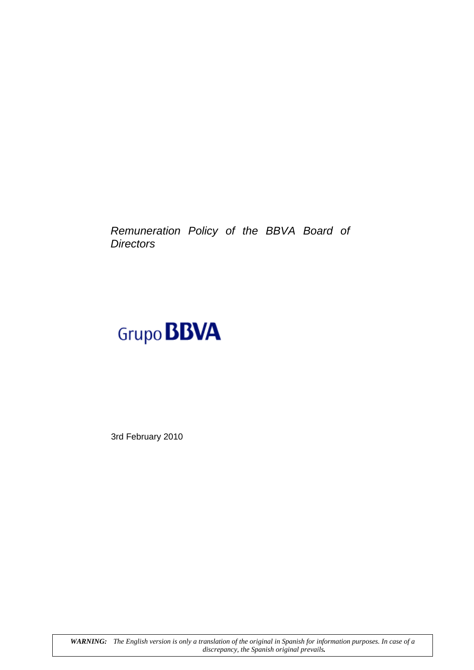*Remuneration Policy of the BBVA Board of Directors*

# Grupo **BBVA**

3rd February 2010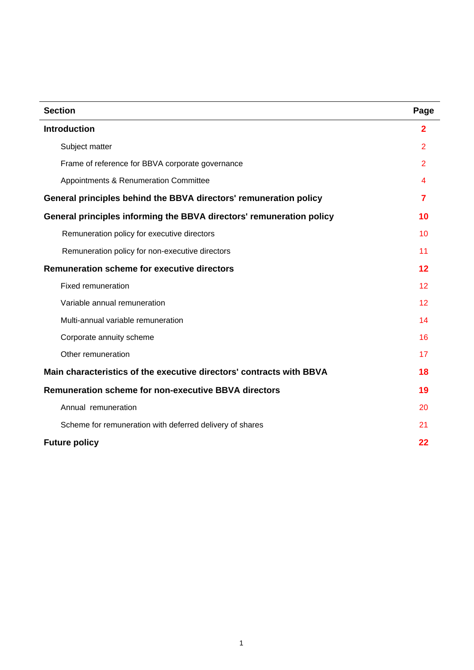| <b>Section</b>                                                       | Page              |
|----------------------------------------------------------------------|-------------------|
| <b>Introduction</b>                                                  | $\overline{2}$    |
| Subject matter                                                       | $\overline{2}$    |
| Frame of reference for BBVA corporate governance                     | $\overline{2}$    |
| Appointments & Renumeration Committee                                | 4                 |
| General principles behind the BBVA directors' remuneration policy    | 7                 |
| General principles informing the BBVA directors' remuneration policy | 10                |
| Remuneration policy for executive directors                          | 10                |
| Remuneration policy for non-executive directors                      | 11                |
| <b>Remuneration scheme for executive directors</b>                   | 12                |
| <b>Fixed remuneration</b>                                            | 12                |
| Variable annual remuneration                                         | $12 \overline{ }$ |
| Multi-annual variable remuneration                                   | 14                |
| Corporate annuity scheme                                             | 16                |
| Other remuneration                                                   | 17                |
| Main characteristics of the executive directors' contracts with BBVA | 18                |
| <b>Remuneration scheme for non-executive BBVA directors</b>          | 19                |
| Annual remuneration                                                  | 20                |
| Scheme for remuneration with deferred delivery of shares             | 21                |
| <b>Future policy</b>                                                 | 22                |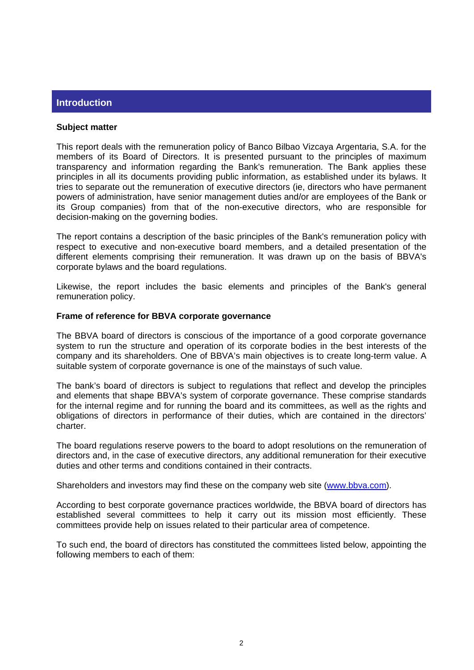## **Introduction**

#### **Subject matter**

This report deals with the remuneration policy of Banco Bilbao Vizcaya Argentaria, S.A. for the members of its Board of Directors. It is presented pursuant to the principles of maximum transparency and information regarding the Bank's remuneration. The Bank applies these principles in all its documents providing public information, as established under its bylaws. It tries to separate out the remuneration of executive directors (ie, directors who have permanent powers of administration, have senior management duties and/or are employees of the Bank or its Group companies) from that of the non-executive directors, who are responsible for decision-making on the governing bodies.

The report contains a description of the basic principles of the Bank's remuneration policy with respect to executive and non-executive board members, and a detailed presentation of the different elements comprising their remuneration. It was drawn up on the basis of BBVA's corporate bylaws and the board regulations.

Likewise, the report includes the basic elements and principles of the Bank's general remuneration policy.

#### **Frame of reference for BBVA corporate governance**

The BBVA board of directors is conscious of the importance of a good corporate governance system to run the structure and operation of its corporate bodies in the best interests of the company and its shareholders. One of BBVA's main objectives is to create long-term value. A suitable system of corporate governance is one of the mainstays of such value.

The bank's board of directors is subject to regulations that reflect and develop the principles and elements that shape BBVA's system of corporate governance. These comprise standards for the internal regime and for running the board and its committees, as well as the rights and obligations of directors in performance of their duties, which are contained in the directors' charter.

The board regulations reserve powers to the board to adopt resolutions on the remuneration of directors and, in the case of executive directors, any additional remuneration for their executive duties and other terms and conditions contained in their contracts.

Shareholders and investors may find these on the company web site (www.bbva.com).

According to best corporate governance practices worldwide, the BBVA board of directors has established several committees to help it carry out its mission most efficiently. These committees provide help on issues related to their particular area of competence.

To such end, the board of directors has constituted the committees listed below, appointing the following members to each of them: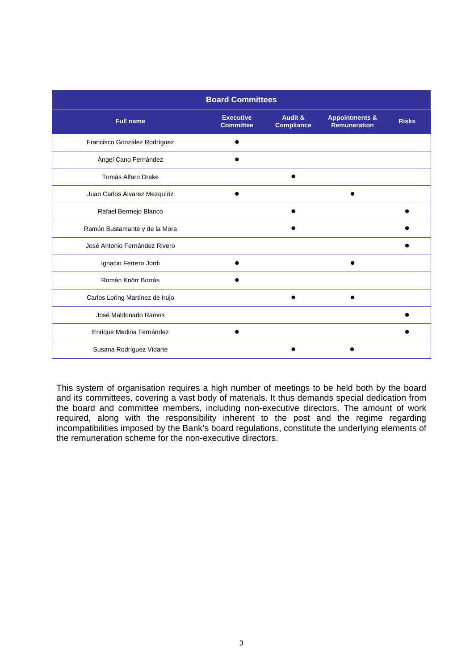| <b>Board Committees</b>         |                                      |                              |                                                  |              |  |
|---------------------------------|--------------------------------------|------------------------------|--------------------------------------------------|--------------|--|
| <b>Full name</b>                | <b>Executive</b><br><b>Committee</b> | Audit &<br><b>Compliance</b> | <b>Appointments &amp;</b><br><b>Remuneration</b> | <b>Risks</b> |  |
| Francisco González Rodríguez    |                                      |                              |                                                  |              |  |
| Ángel Cano Fernández            |                                      |                              |                                                  |              |  |
| Tomás Alfaro Drake              |                                      |                              |                                                  |              |  |
| Juan Carlos Álvarez Mezquíriz   |                                      |                              |                                                  |              |  |
| Rafael Bermejo Blanco           |                                      |                              |                                                  |              |  |
| Ramón Bustamante y de la Mora   |                                      |                              |                                                  |              |  |
| José Antonio Fernández Rivero   |                                      |                              |                                                  |              |  |
| Ignacio Ferrero Jordi           |                                      |                              |                                                  |              |  |
| Román Knörr Borrás              |                                      |                              |                                                  |              |  |
| Carlos Loring Martínez de Irujo |                                      |                              |                                                  |              |  |
| José Maldonado Ramos            |                                      |                              |                                                  |              |  |
| Enrique Medina Fernández        |                                      |                              |                                                  |              |  |
| Susana Rodríguez Vidarte        |                                      |                              |                                                  |              |  |

This system of organisation requires a high number of meetings to be held both by the board and its committees, covering a vast body of materials. It thus demands special dedication from the board and committee members, including non-executive directors. The amount of work required, along with the responsibility inherent to the post and the regime regarding incompatibilities imposed by the Bank's board regulations, constitute the underlying elements of the remuneration scheme for the non-executive directors.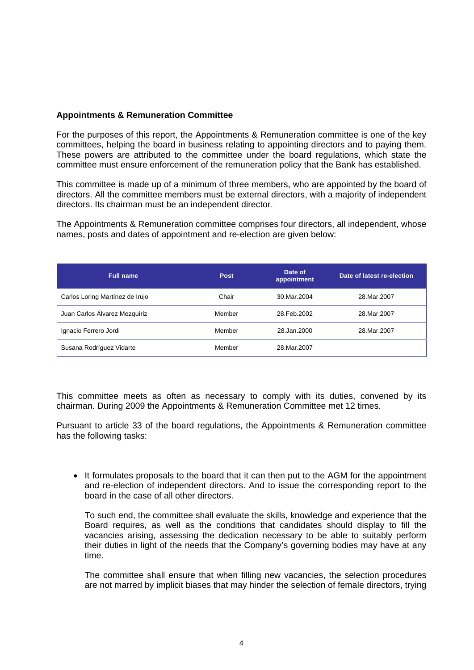## **Appointments & Remuneration Committee**

For the purposes of this report, the Appointments & Remuneration committee is one of the key committees, helping the board in business relating to appointing directors and to paying them. These powers are attributed to the committee under the board regulations, which state the committee must ensure enforcement of the remuneration policy that the Bank has established.

This committee is made up of a minimum of three members, who are appointed by the board of directors. All the committee members must be external directors, with a majority of independent directors. Its chairman must be an independent director.

The Appointments & Remuneration committee comprises four directors, all independent, whose names, posts and dates of appointment and re-election are given below:

| <b>Full name</b>                | <b>Post</b> | Date of<br>appointment | Date of latest re-election |
|---------------------------------|-------------|------------------------|----------------------------|
| Carlos Loring Martínez de Irujo | Chair       | 30. Mar. 2004          | 28. Mar. 2007              |
| Juan Carlos Álvarez Mezquíriz   | Member      | 28. Feb. 2002          | 28. Mar. 2007              |
| Ignacio Ferrero Jordi           | Member      | 28.Jan.2000            | 28. Mar. 2007              |
| Susana Rodríguez Vidarte        | Member      | 28. Mar. 2007          |                            |

This committee meets as often as necessary to comply with its duties, convened by its chairman. During 2009 the Appointments & Remuneration Committee met 12 times.

Pursuant to article 33 of the board regulations, the Appointments & Remuneration committee has the following tasks:

• It formulates proposals to the board that it can then put to the AGM for the appointment and re-election of independent directors. And to issue the corresponding report to the board in the case of all other directors.

To such end, the committee shall evaluate the skills, knowledge and experience that the Board requires, as well as the conditions that candidates should display to fill the vacancies arising, assessing the dedication necessary to be able to suitably perform their duties in light of the needs that the Company's governing bodies may have at any time.

The committee shall ensure that when filling new vacancies, the selection procedures are not marred by implicit biases that may hinder the selection of female directors, trying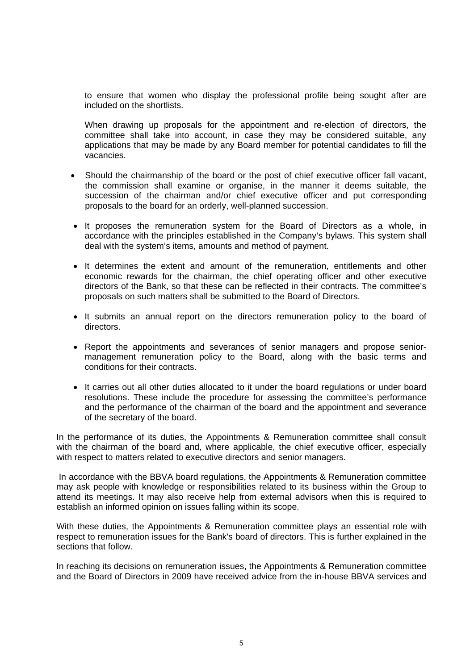to ensure that women who display the professional profile being sought after are included on the shortlists.

When drawing up proposals for the appointment and re-election of directors, the committee shall take into account, in case they may be considered suitable, any applications that may be made by any Board member for potential candidates to fill the vacancies.

- Should the chairmanship of the board or the post of chief executive officer fall vacant, the commission shall examine or organise, in the manner it deems suitable, the succession of the chairman and/or chief executive officer and put corresponding proposals to the board for an orderly, well-planned succession.
- It proposes the remuneration system for the Board of Directors as a whole, in accordance with the principles established in the Company's bylaws. This system shall deal with the system's items, amounts and method of payment.
- It determines the extent and amount of the remuneration, entitlements and other economic rewards for the chairman, the chief operating officer and other executive directors of the Bank, so that these can be reflected in their contracts. The committee's proposals on such matters shall be submitted to the Board of Directors.
- It submits an annual report on the directors remuneration policy to the board of directors.
- Report the appointments and severances of senior managers and propose seniormanagement remuneration policy to the Board, along with the basic terms and conditions for their contracts.
- It carries out all other duties allocated to it under the board regulations or under board resolutions. These include the procedure for assessing the committee's performance and the performance of the chairman of the board and the appointment and severance of the secretary of the board.

In the performance of its duties, the Appointments & Remuneration committee shall consult with the chairman of the board and, where applicable, the chief executive officer, especially with respect to matters related to executive directors and senior managers.

 In accordance with the BBVA board regulations, the Appointments & Remuneration committee may ask people with knowledge or responsibilities related to its business within the Group to attend its meetings. It may also receive help from external advisors when this is required to establish an informed opinion on issues falling within its scope.

With these duties, the Appointments & Remuneration committee plays an essential role with respect to remuneration issues for the Bank's board of directors. This is further explained in the sections that follow.

In reaching its decisions on remuneration issues, the Appointments & Remuneration committee and the Board of Directors in 2009 have received advice from the in-house BBVA services and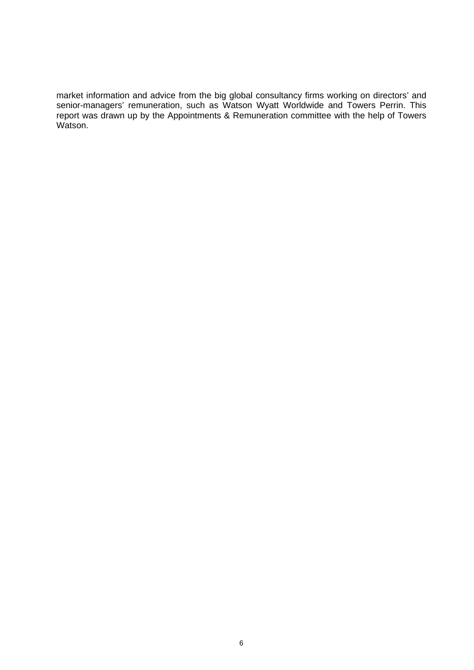market information and advice from the big global consultancy firms working on directors' and senior-managers' remuneration, such as Watson Wyatt Worldwide and Towers Perrin. This report was drawn up by the Appointments & Remuneration committee with the help of Towers Watson.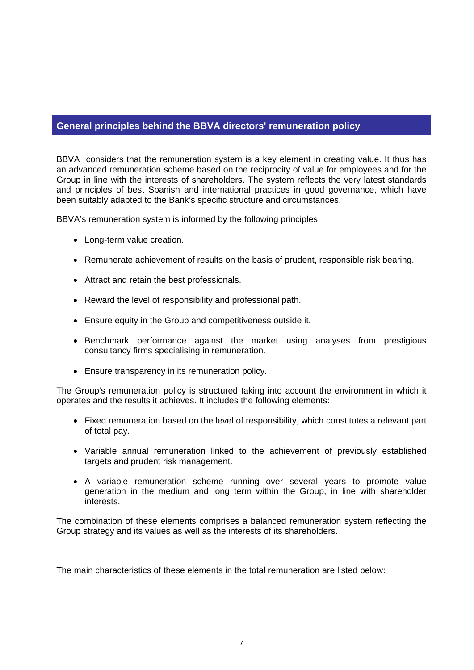## **General principles behind the BBVA directors' remuneration policy**

BBVA considers that the remuneration system is a key element in creating value. It thus has an advanced remuneration scheme based on the reciprocity of value for employees and for the Group in line with the interests of shareholders. The system reflects the very latest standards and principles of best Spanish and international practices in good governance, which have been suitably adapted to the Bank's specific structure and circumstances.

BBVA's remuneration system is informed by the following principles:

- Long-term value creation.
- Remunerate achievement of results on the basis of prudent, responsible risk bearing.
- Attract and retain the best professionals.
- Reward the level of responsibility and professional path.
- Ensure equity in the Group and competitiveness outside it.
- Benchmark performance against the market using analyses from prestigious consultancy firms specialising in remuneration.
- Ensure transparency in its remuneration policy.

The Group's remuneration policy is structured taking into account the environment in which it operates and the results it achieves. It includes the following elements:

- Fixed remuneration based on the level of responsibility, which constitutes a relevant part of total pay.
- Variable annual remuneration linked to the achievement of previously established targets and prudent risk management.
- A variable remuneration scheme running over several years to promote value generation in the medium and long term within the Group, in line with shareholder interests.

The combination of these elements comprises a balanced remuneration system reflecting the Group strategy and its values as well as the interests of its shareholders.

The main characteristics of these elements in the total remuneration are listed below: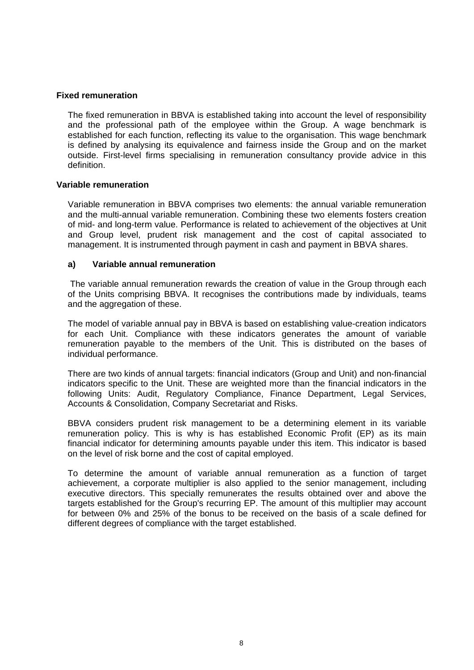## **Fixed remuneration**

The fixed remuneration in BBVA is established taking into account the level of responsibility and the professional path of the employee within the Group. A wage benchmark is established for each function, reflecting its value to the organisation. This wage benchmark is defined by analysing its equivalence and fairness inside the Group and on the market outside. First-level firms specialising in remuneration consultancy provide advice in this definition.

## **Variable remuneration**

Variable remuneration in BBVA comprises two elements: the annual variable remuneration and the multi-annual variable remuneration. Combining these two elements fosters creation of mid- and long-term value. Performance is related to achievement of the objectives at Unit and Group level, prudent risk management and the cost of capital associated to management. It is instrumented through payment in cash and payment in BBVA shares.

## **a) Variable annual remuneration**

 The variable annual remuneration rewards the creation of value in the Group through each of the Units comprising BBVA. It recognises the contributions made by individuals, teams and the aggregation of these.

The model of variable annual pay in BBVA is based on establishing value-creation indicators for each Unit. Compliance with these indicators generates the amount of variable remuneration payable to the members of the Unit. This is distributed on the bases of individual performance.

There are two kinds of annual targets: financial indicators (Group and Unit) and non-financial indicators specific to the Unit. These are weighted more than the financial indicators in the following Units: Audit, Regulatory Compliance, Finance Department, Legal Services, Accounts & Consolidation, Company Secretariat and Risks.

BBVA considers prudent risk management to be a determining element in its variable remuneration policy. This is why is has established Economic Profit (EP) as its main financial indicator for determining amounts payable under this item. This indicator is based on the level of risk borne and the cost of capital employed.

To determine the amount of variable annual remuneration as a function of target achievement, a corporate multiplier is also applied to the senior management, including executive directors. This specially remunerates the results obtained over and above the targets established for the Group's recurring EP. The amount of this multiplier may account for between 0% and 25% of the bonus to be received on the basis of a scale defined for different degrees of compliance with the target established.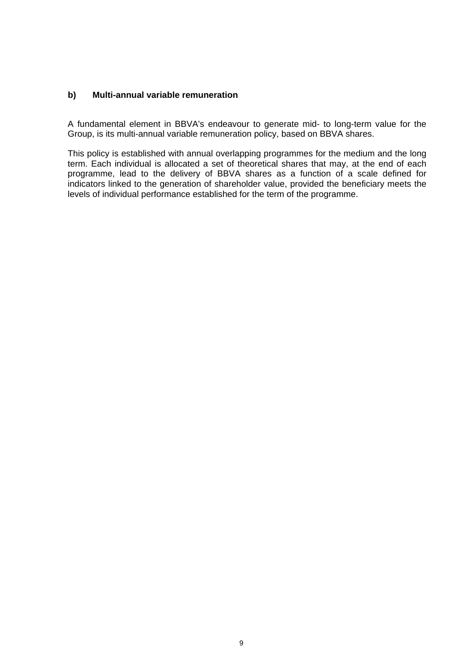## **b) Multi-annual variable remuneration**

A fundamental element in BBVA's endeavour to generate mid- to long-term value for the Group, is its multi-annual variable remuneration policy, based on BBVA shares.

This policy is established with annual overlapping programmes for the medium and the long term. Each individual is allocated a set of theoretical shares that may, at the end of each programme, lead to the delivery of BBVA shares as a function of a scale defined for indicators linked to the generation of shareholder value, provided the beneficiary meets the levels of individual performance established for the term of the programme.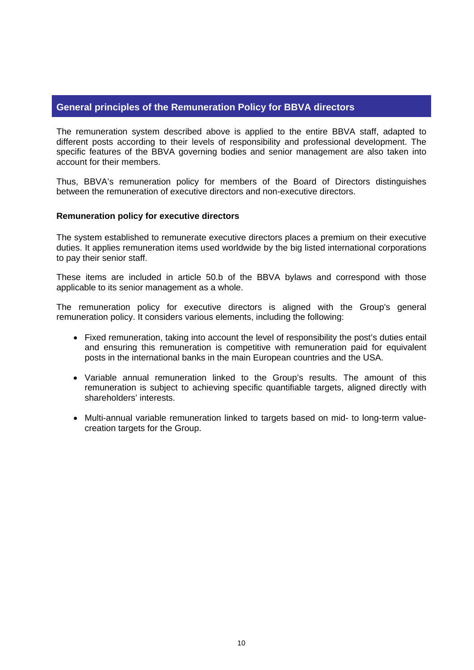## **General principles of the Remuneration Policy for BBVA directors**

The remuneration system described above is applied to the entire BBVA staff, adapted to different posts according to their levels of responsibility and professional development. The specific features of the BBVA governing bodies and senior management are also taken into account for their members.

Thus, BBVA's remuneration policy for members of the Board of Directors distinguishes between the remuneration of executive directors and non-executive directors.

## **Remuneration policy for executive directors**

The system established to remunerate executive directors places a premium on their executive duties. It applies remuneration items used worldwide by the big listed international corporations to pay their senior staff.

These items are included in article 50.b of the BBVA bylaws and correspond with those applicable to its senior management as a whole.

The remuneration policy for executive directors is aligned with the Group's general remuneration policy. It considers various elements, including the following:

- Fixed remuneration, taking into account the level of responsibility the post's duties entail and ensuring this remuneration is competitive with remuneration paid for equivalent posts in the international banks in the main European countries and the USA.
- Variable annual remuneration linked to the Group's results. The amount of this remuneration is subject to achieving specific quantifiable targets, aligned directly with shareholders' interests.
- Multi-annual variable remuneration linked to targets based on mid- to long-term valuecreation targets for the Group.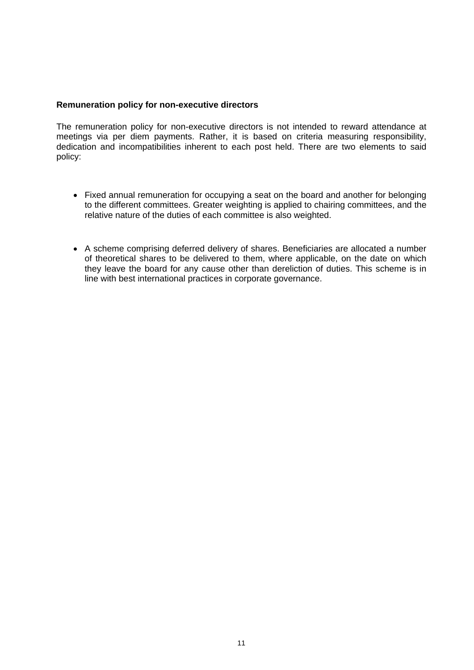## **Remuneration policy for non-executive directors**

The remuneration policy for non-executive directors is not intended to reward attendance at meetings via per diem payments. Rather, it is based on criteria measuring responsibility, dedication and incompatibilities inherent to each post held. There are two elements to said policy:

- Fixed annual remuneration for occupying a seat on the board and another for belonging to the different committees. Greater weighting is applied to chairing committees, and the relative nature of the duties of each committee is also weighted.
- A scheme comprising deferred delivery of shares. Beneficiaries are allocated a number of theoretical shares to be delivered to them, where applicable, on the date on which they leave the board for any cause other than dereliction of duties. This scheme is in line with best international practices in corporate governance.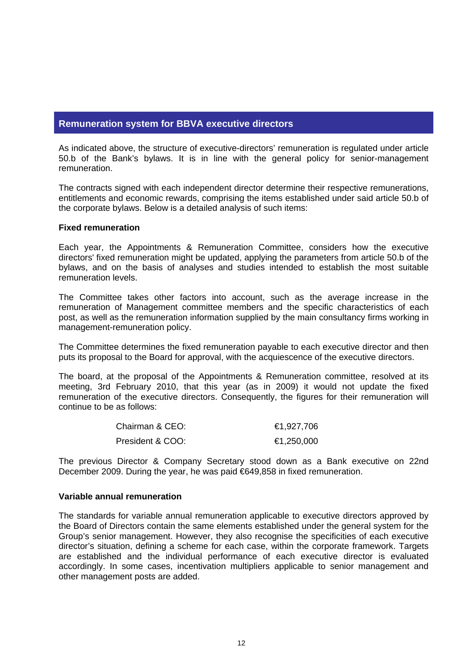## **Remuneration system for BBVA executive directors**

As indicated above, the structure of executive-directors' remuneration is regulated under article 50.b of the Bank's bylaws. It is in line with the general policy for senior-management remuneration.

The contracts signed with each independent director determine their respective remunerations, entitlements and economic rewards, comprising the items established under said article 50.b of the corporate bylaws. Below is a detailed analysis of such items:

#### **Fixed remuneration**

Each year, the Appointments & Remuneration Committee, considers how the executive directors' fixed remuneration might be updated, applying the parameters from article 50.b of the bylaws, and on the basis of analyses and studies intended to establish the most suitable remuneration levels.

The Committee takes other factors into account, such as the average increase in the remuneration of Management committee members and the specific characteristics of each post, as well as the remuneration information supplied by the main consultancy firms working in management-remuneration policy.

The Committee determines the fixed remuneration payable to each executive director and then puts its proposal to the Board for approval, with the acquiescence of the executive directors.

The board, at the proposal of the Appointments & Remuneration committee, resolved at its meeting, 3rd February 2010, that this year (as in 2009) it would not update the fixed remuneration of the executive directors. Consequently, the figures for their remuneration will continue to be as follows:

| Chairman & CEO:  | €1,927,706 |
|------------------|------------|
| President & COO: | €1,250,000 |

The previous Director & Company Secretary stood down as a Bank executive on 22nd December 2009. During the year, he was paid €649,858 in fixed remuneration.

#### **Variable annual remuneration**

The standards for variable annual remuneration applicable to executive directors approved by the Board of Directors contain the same elements established under the general system for the Group's senior management. However, they also recognise the specificities of each executive director's situation, defining a scheme for each case, within the corporate framework. Targets are established and the individual performance of each executive director is evaluated accordingly. In some cases, incentivation multipliers applicable to senior management and other management posts are added.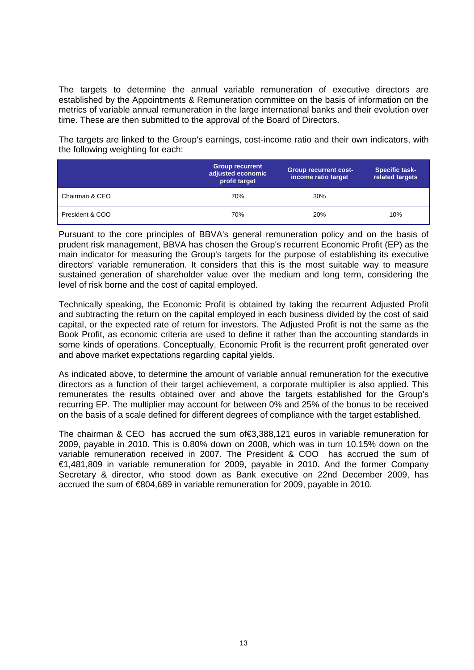The targets to determine the annual variable remuneration of executive directors are established by the Appointments & Remuneration committee on the basis of information on the metrics of variable annual remuneration in the large international banks and their evolution over time. These are then submitted to the approval of the Board of Directors.

The targets are linked to the Group's earnings, cost-income ratio and their own indicators, with the following weighting for each:

|                 | <b>Group recurrent</b><br>adjusted economic<br>profit target | <b>Group recurrent cost-</b><br>income ratio target | <b>Specific task-</b><br>related targets |
|-----------------|--------------------------------------------------------------|-----------------------------------------------------|------------------------------------------|
| Chairman & CEO  | 70%                                                          | 30%                                                 |                                          |
| President & COO | 70%                                                          | 20%                                                 | 10%                                      |

Pursuant to the core principles of BBVA's general remuneration policy and on the basis of prudent risk management, BBVA has chosen the Group's recurrent Economic Profit (EP) as the main indicator for measuring the Group's targets for the purpose of establishing its executive directors' variable remuneration. It considers that this is the most suitable way to measure sustained generation of shareholder value over the medium and long term, considering the level of risk borne and the cost of capital employed.

Technically speaking, the Economic Profit is obtained by taking the recurrent Adjusted Profit and subtracting the return on the capital employed in each business divided by the cost of said capital, or the expected rate of return for investors. The Adjusted Profit is not the same as the Book Profit, as economic criteria are used to define it rather than the accounting standards in some kinds of operations. Conceptually, Economic Profit is the recurrent profit generated over and above market expectations regarding capital yields.

As indicated above, to determine the amount of variable annual remuneration for the executive directors as a function of their target achievement, a corporate multiplier is also applied. This remunerates the results obtained over and above the targets established for the Group's recurring EP. The multiplier may account for between 0% and 25% of the bonus to be received on the basis of a scale defined for different degrees of compliance with the target established.

The chairman & CEO has accrued the sum of€3,388,121 euros in variable remuneration for 2009, payable in 2010. This is 0.80% down on 2008, which was in turn 10.15% down on the variable remuneration received in 2007. The President & COO has accrued the sum of €1,481,809 in variable remuneration for 2009, payable in 2010. And the former Company Secretary & director, who stood down as Bank executive on 22nd December 2009, has accrued the sum of €804,689 in variable remuneration for 2009, payable in 2010.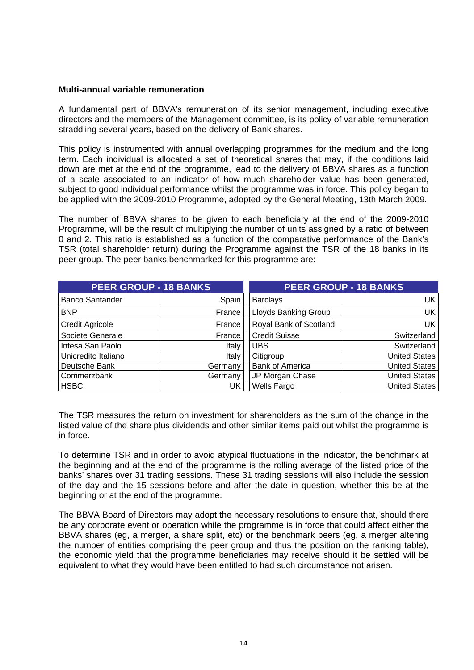#### **Multi-annual variable remuneration**

A fundamental part of BBVA's remuneration of its senior management, including executive directors and the members of the Management committee, is its policy of variable remuneration straddling several years, based on the delivery of Bank shares.

This policy is instrumented with annual overlapping programmes for the medium and the long term. Each individual is allocated a set of theoretical shares that may, if the conditions laid down are met at the end of the programme, lead to the delivery of BBVA shares as a function of a scale associated to an indicator of how much shareholder value has been generated, subject to good individual performance whilst the programme was in force. This policy began to be applied with the 2009-2010 Programme, adopted by the General Meeting, 13th March 2009.

The number of BBVA shares to be given to each beneficiary at the end of the 2009-2010 Programme, will be the result of multiplying the number of units assigned by a ratio of between 0 and 2. This ratio is established as a function of the comparative performance of the Bank's TSR (total shareholder return) during the Programme against the TSR of the 18 banks in its peer group. The peer banks benchmarked for this programme are:

| <b>PEER GROUP - 18 BANKS</b> |         | <b>PEER GROUP - 18 BANKS</b> |                      |  |
|------------------------------|---------|------------------------------|----------------------|--|
| <b>Banco Santander</b>       | Spain   | <b>Barclays</b>              | UK.                  |  |
| <b>BNP</b>                   | France  | Lloyds Banking Group         | <b>UK</b>            |  |
| <b>Credit Agricole</b>       | France  | Royal Bank of Scotland       | <b>UK</b>            |  |
| Societe Generale             | France  | <b>Credit Suisse</b>         | Switzerland          |  |
| Intesa San Paolo             | Italy   | <b>UBS</b>                   | Switzerland          |  |
| Unicredito Italiano          | Italy   | Citigroup                    | <b>United States</b> |  |
| Deutsche Bank                | Germany | <b>Bank of America</b>       | <b>United States</b> |  |
| Commerzbank                  | Germany | JP Morgan Chase              | <b>United States</b> |  |
| <b>HSBC</b>                  | UK      | Wells Fargo                  | United States        |  |

The TSR measures the return on investment for shareholders as the sum of the change in the listed value of the share plus dividends and other similar items paid out whilst the programme is in force.

To determine TSR and in order to avoid atypical fluctuations in the indicator, the benchmark at the beginning and at the end of the programme is the rolling average of the listed price of the banks' shares over 31 trading sessions. These 31 trading sessions will also include the session of the day and the 15 sessions before and after the date in question, whether this be at the beginning or at the end of the programme.

The BBVA Board of Directors may adopt the necessary resolutions to ensure that, should there be any corporate event or operation while the programme is in force that could affect either the BBVA shares (eg, a merger, a share split, etc) or the benchmark peers (eg, a merger altering the number of entities comprising the peer group and thus the position on the ranking table), the economic yield that the programme beneficiaries may receive should it be settled will be equivalent to what they would have been entitled to had such circumstance not arisen.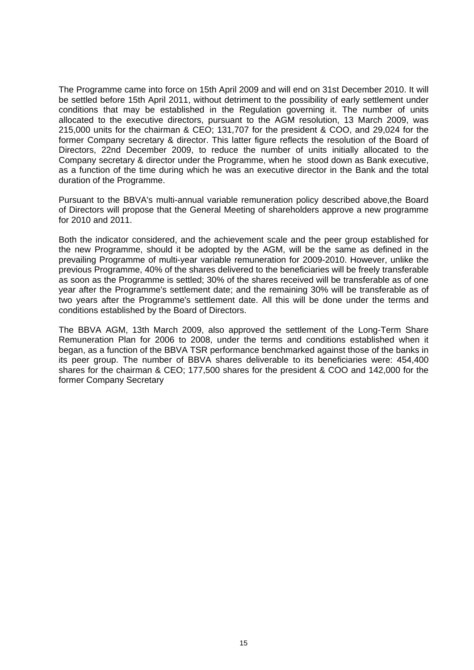The Programme came into force on 15th April 2009 and will end on 31st December 2010. It will be settled before 15th April 2011, without detriment to the possibility of early settlement under conditions that may be established in the Regulation governing it. The number of units allocated to the executive directors, pursuant to the AGM resolution, 13 March 2009, was 215,000 units for the chairman & CEO; 131,707 for the president & COO, and 29,024 for the former Company secretary & director. This latter figure reflects the resolution of the Board of Directors, 22nd December 2009, to reduce the number of units initially allocated to the Company secretary & director under the Programme, when he stood down as Bank executive, as a function of the time during which he was an executive director in the Bank and the total duration of the Programme.

Pursuant to the BBVA's multi-annual variable remuneration policy described above,the Board of Directors will propose that the General Meeting of shareholders approve a new programme for 2010 and 2011.

Both the indicator considered, and the achievement scale and the peer group established for the new Programme, should it be adopted by the AGM, will be the same as defined in the prevailing Programme of multi-year variable remuneration for 2009-2010. However, unlike the previous Programme, 40% of the shares delivered to the beneficiaries will be freely transferable as soon as the Programme is settled; 30% of the shares received will be transferable as of one year after the Programme's settlement date; and the remaining 30% will be transferable as of two years after the Programme's settlement date. All this will be done under the terms and conditions established by the Board of Directors.

The BBVA AGM, 13th March 2009, also approved the settlement of the Long-Term Share Remuneration Plan for 2006 to 2008, under the terms and conditions established when it began, as a function of the BBVA TSR performance benchmarked against those of the banks in its peer group. The number of BBVA shares deliverable to its beneficiaries were: 454,400 shares for the chairman & CEO; 177,500 shares for the president & COO and 142,000 for the former Company Secretary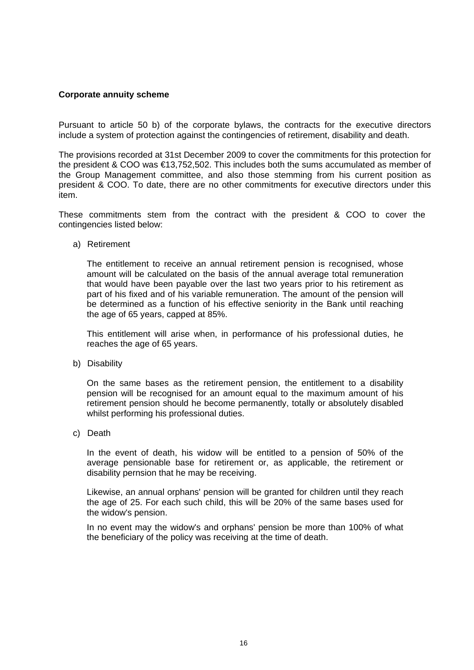## **Corporate annuity scheme**

Pursuant to article 50 b) of the corporate bylaws, the contracts for the executive directors include a system of protection against the contingencies of retirement, disability and death.

The provisions recorded at 31st December 2009 to cover the commitments for this protection for the president & COO was €13,752,502. This includes both the sums accumulated as member of the Group Management committee, and also those stemming from his current position as president & COO. To date, there are no other commitments for executive directors under this item.

These commitments stem from the contract with the president & COO to cover the contingencies listed below:

a) Retirement

The entitlement to receive an annual retirement pension is recognised, whose amount will be calculated on the basis of the annual average total remuneration that would have been payable over the last two years prior to his retirement as part of his fixed and of his variable remuneration. The amount of the pension will be determined as a function of his effective seniority in the Bank until reaching the age of 65 years, capped at 85%.

This entitlement will arise when, in performance of his professional duties, he reaches the age of 65 years.

b) Disability

On the same bases as the retirement pension, the entitlement to a disability pension will be recognised for an amount equal to the maximum amount of his retirement pension should he become permanently, totally or absolutely disabled whilst performing his professional duties.

c) Death

In the event of death, his widow will be entitled to a pension of 50% of the average pensionable base for retirement or, as applicable, the retirement or disability pernsion that he may be receiving.

Likewise, an annual orphans' pension will be granted for children until they reach the age of 25. For each such child, this will be 20% of the same bases used for the widow's pension.

In no event may the widow's and orphans' pension be more than 100% of what the beneficiary of the policy was receiving at the time of death.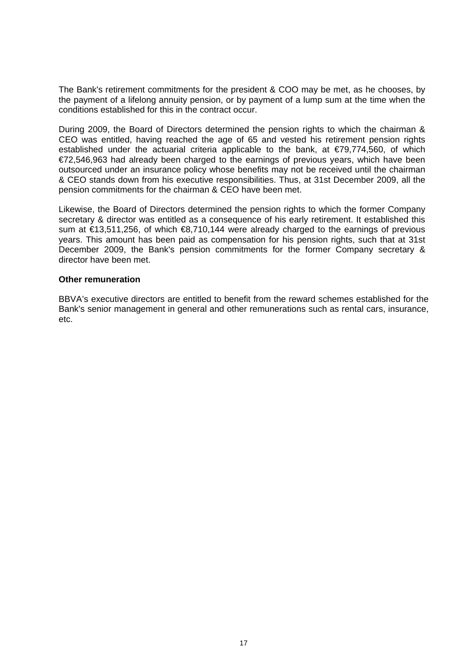The Bank's retirement commitments for the president & COO may be met, as he chooses, by the payment of a lifelong annuity pension, or by payment of a lump sum at the time when the conditions established for this in the contract occur.

During 2009, the Board of Directors determined the pension rights to which the chairman & CEO was entitled, having reached the age of 65 and vested his retirement pension rights established under the actuarial criteria applicable to the bank, at  $\epsilon$ 79,774,560, of which €72,546,963 had already been charged to the earnings of previous years, which have been outsourced under an insurance policy whose benefits may not be received until the chairman & CEO stands down from his executive responsibilities. Thus, at 31st December 2009, all the pension commitments for the chairman & CEO have been met.

Likewise, the Board of Directors determined the pension rights to which the former Company secretary & director was entitled as a consequence of his early retirement. It established this sum at €13,511,256, of which €8,710,144 were already charged to the earnings of previous years. This amount has been paid as compensation for his pension rights, such that at 31st December 2009, the Bank's pension commitments for the former Company secretary & director have been met.

#### **Other remuneration**

BBVA's executive directors are entitled to benefit from the reward schemes established for the Bank's senior management in general and other remunerations such as rental cars, insurance, etc.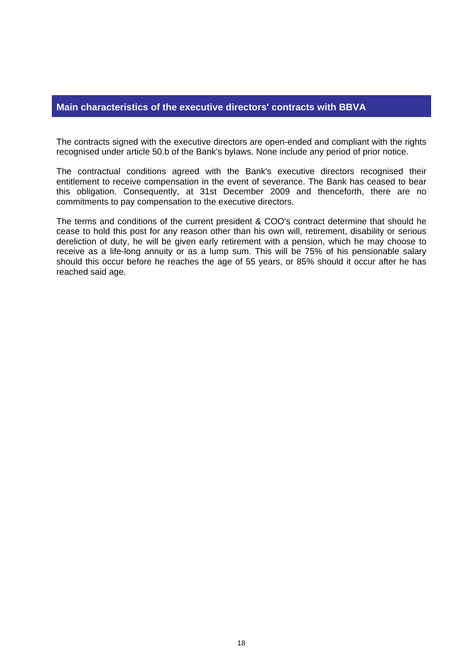## **Main characteristics of the executive directors' contracts with BBVA**

The contracts signed with the executive directors are open-ended and compliant with the rights recognised under article 50.b of the Bank's bylaws. None include any period of prior notice.

The contractual conditions agreed with the Bank's executive directors recognised their entitlement to receive compensation in the event of severance. The Bank has ceased to bear this obligation. Consequently, at 31st December 2009 and thenceforth, there are no commitments to pay compensation to the executive directors.

The terms and conditions of the current president & COO's contract determine that should he cease to hold this post for any reason other than his own will, retirement, disability or serious dereliction of duty, he will be given early retirement with a pension, which he may choose to receive as a life-long annuity or as a lump sum. This will be 75% of his pensionable salary should this occur before he reaches the age of 55 years, or 85% should it occur after he has reached said age.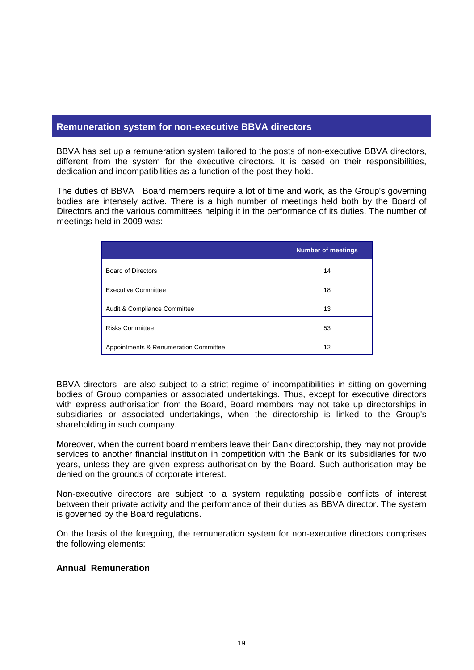## **Remuneration system for non-executive BBVA directors**

BBVA has set up a remuneration system tailored to the posts of non-executive BBVA directors, different from the system for the executive directors. It is based on their responsibilities, dedication and incompatibilities as a function of the post they hold.

The duties of BBVA Board members require a lot of time and work, as the Group's governing bodies are intensely active. There is a high number of meetings held both by the Board of Directors and the various committees helping it in the performance of its duties. The number of meetings held in 2009 was:

|                                       | <b>Number of meetings</b> |
|---------------------------------------|---------------------------|
| <b>Board of Directors</b>             | 14                        |
| <b>Executive Committee</b>            | 18                        |
| Audit & Compliance Committee          | 13                        |
| <b>Risks Committee</b>                | 53                        |
| Appointments & Renumeration Committee | 12                        |

BBVA directors are also subject to a strict regime of incompatibilities in sitting on governing bodies of Group companies or associated undertakings. Thus, except for executive directors with express authorisation from the Board, Board members may not take up directorships in subsidiaries or associated undertakings, when the directorship is linked to the Group's shareholding in such company.

Moreover, when the current board members leave their Bank directorship, they may not provide services to another financial institution in competition with the Bank or its subsidiaries for two years, unless they are given express authorisation by the Board. Such authorisation may be denied on the grounds of corporate interest.

Non-executive directors are subject to a system regulating possible conflicts of interest between their private activity and the performance of their duties as BBVA director. The system is governed by the Board regulations.

On the basis of the foregoing, the remuneration system for non-executive directors comprises the following elements:

## **Annual Remuneration**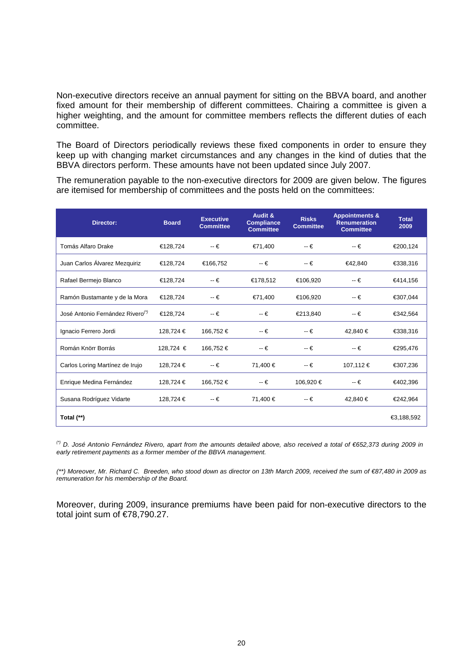Non-executive directors receive an annual payment for sitting on the BBVA board, and another fixed amount for their membership of different committees. Chairing a committee is given a higher weighting, and the amount for committee members reflects the different duties of each committee.

The Board of Directors periodically reviews these fixed components in order to ensure they keep up with changing market circumstances and any changes in the kind of duties that the BBVA directors perform. These amounts have not been updated since July 2007.

The remuneration payable to the non-executive directors for 2009 are given below. The figures are itemised for membership of committees and the posts held on the committees:

| <b>Director:</b>                             | <b>Board</b> | <b>Executive</b><br><b>Committee</b> | <b>Audit &amp;</b><br><b>Compliance</b><br><b>Committee</b> | <b>Risks</b><br><b>Committee</b> | <b>Appointments &amp;</b><br><b>Renumeration</b><br><b>Committee</b> | <b>Total</b><br>2009 |
|----------------------------------------------|--------------|--------------------------------------|-------------------------------------------------------------|----------------------------------|----------------------------------------------------------------------|----------------------|
| Tomás Alfaro Drake                           | €128.724     | $-\epsilon$                          | €71,400                                                     | $-\epsilon$                      | $-\epsilon$                                                          | €200,124             |
| Juan Carlos Álvarez Mezquiriz                | €128,724     | €166,752                             | $-\epsilon$                                                 | $-\epsilon$                      | €42,840                                                              | €338,316             |
| Rafael Bermejo Blanco                        | €128.724     | $-\epsilon$                          | €178,512                                                    | €106,920                         | -- €                                                                 | €414,156             |
| Ramón Bustamante y de la Mora                | €128,724     | $-\epsilon$                          | €71,400                                                     | €106,920                         | $-\epsilon$                                                          | €307,044             |
| José Antonio Fernández Rivero <sup>(*)</sup> | €128,724     | $-\epsilon$                          | $-\epsilon$                                                 | €213,840                         | $-\epsilon$                                                          | €342,564             |
| Ignacio Ferrero Jordi                        | 128,724 €    | 166,752€                             | $-\epsilon$                                                 | $-\epsilon$                      | 42,840 €                                                             | €338,316             |
| Román Knörr Borrás                           | 128,724 €    | 166,752€                             | $-\epsilon$                                                 | $-\epsilon$                      | $- \epsilon$                                                         | €295,476             |
| Carlos Loring Martínez de Irujo              | 128,724 €    | $-\epsilon$                          | 71,400 €                                                    | $-\epsilon$                      | 107,112 €                                                            | €307,236             |
| Enrique Medina Fernández                     | 128,724 €    | 166,752 €                            | $-\epsilon$                                                 | 106,920 €                        | -- €                                                                 | €402,396             |
| Susana Rodríguez Vidarte                     | 128,724 €    | $-\epsilon$                          | 71,400 €                                                    | $-\epsilon$                      | 42,840 €                                                             | €242,964             |
| Total (**)                                   |              |                                      |                                                             |                                  |                                                                      | €3,188,592           |

*(\*) D. José Antonio Fernández Rivero, apart from the amounts detailed above, also received a total of €652,373 during 2009 in early retirement payments as a former member of the BBVA management.* 

*(\*\*) Moreover, Mr. Richard C. Breeden, who stood down as director on 13th March 2009, received the sum of €87,480 in 2009 as remuneration for his membership of the Board.* 

Moreover, during 2009, insurance premiums have been paid for non-executive directors to the total joint sum of €78,790.27.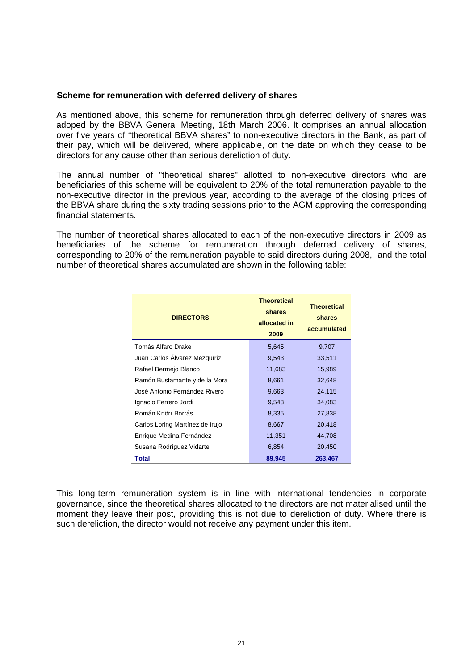#### **Scheme for remuneration with deferred delivery of shares**

As mentioned above, this scheme for remuneration through deferred delivery of shares was adoped by the BBVA General Meeting, 18th March 2006. It comprises an annual allocation over five years of "theoretical BBVA shares" to non-executive directors in the Bank, as part of their pay, which will be delivered, where applicable, on the date on which they cease to be directors for any cause other than serious dereliction of duty.

The annual number of "theoretical shares" allotted to non-executive directors who are beneficiaries of this scheme will be equivalent to 20% of the total remuneration payable to the non-executive director in the previous year, according to the average of the closing prices of the BBVA share during the sixty trading sessions prior to the AGM approving the corresponding financial statements.

The number of theoretical shares allocated to each of the non-executive directors in 2009 as beneficiaries of the scheme for remuneration through deferred delivery of shares, corresponding to 20% of the remuneration payable to said directors during 2008, and the total number of theoretical shares accumulated are shown in the following table:

| <b>DIRECTORS</b>                | <b>Theoretical</b><br>shares<br>allocated in<br>2009 | <b>Theoretical</b><br>shares<br>accumulated |
|---------------------------------|------------------------------------------------------|---------------------------------------------|
| Tomás Alfaro Drake              | 5,645                                                | 9,707                                       |
| Juan Carlos Alvarez Mezquíriz   | 9,543                                                | 33,511                                      |
| Rafael Bermejo Blanco           | 11,683                                               | 15,989                                      |
| Ramón Bustamante y de la Mora   | 8,661                                                | 32,648                                      |
| José Antonio Fernández Rivero   | 9,663                                                | 24,115                                      |
| Ignacio Ferrero Jordi           | 9,543                                                | 34,083                                      |
| Román Knörr Borrás              | 8,335                                                | 27,838                                      |
| Carlos Loring Martínez de Irujo | 8,667                                                | 20,418                                      |
| Enrique Medina Fernández        | 11,351                                               | 44,708                                      |
| Susana Rodríguez Vidarte        | 6,854                                                | 20,450                                      |
| <b>Total</b>                    | 89,945                                               | 263,467                                     |

This long-term remuneration system is in line with international tendencies in corporate governance, since the theoretical shares allocated to the directors are not materialised until the moment they leave their post, providing this is not due to dereliction of duty. Where there is such dereliction, the director would not receive any payment under this item.